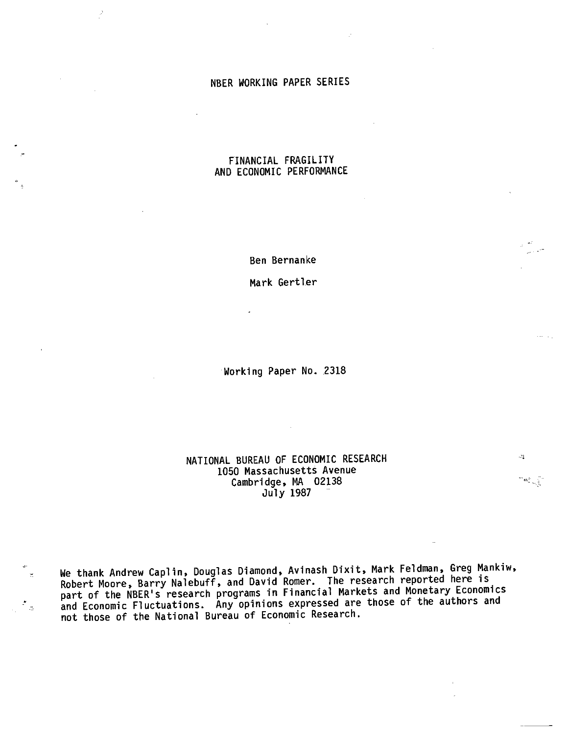## NBER WORKING PAPER SERIES

# FINANCIAL FRAGILITY AND ECONOMIC PERFORMANCE

Ben Bernanke

Mark Gertler

Working Paper No. 2318

# NATIONAL BUREAU OF ECONOMIC RESEARCH 1050 Massachusetts Avenue Cambridge, MA 02138 July 1987

 $\mathbb{F}_2$ 

 $\mathbf{z} \mathbf{L}^{(2)}_{\mathrm{c}}$ 

We thank Andrew Caplin, Douglas Diamond, Avinash Dixit, Mark Feldman, Greg Mankiw, Robert Moore, Barry Nalebuff, and David Romer. The research reported here is part of the NBER's research programs in Financial Markets and Monetary Economics and Economic Fluctuations. Any opinions expressed are those of the authors and not those of the National Bureau of Economic Research.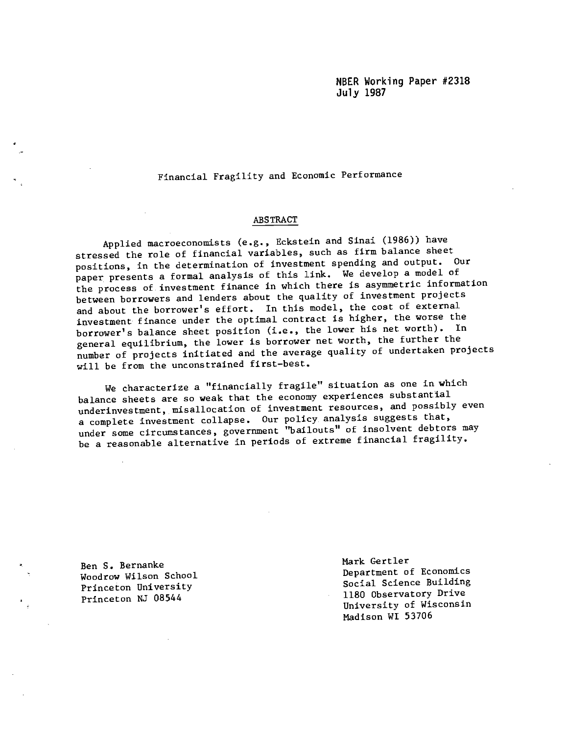NBER Working Paper #2318 July 1987

Financial Fragility and Economic Performance

### ABSTRACT

Applied macroeconomists (e.g., Eckstein and Sinai (1986)) have stressed the role of financial variables, such as firm balance sheet positions, in the determination of investment spending and output. Our paper presents a formal analysis of this link. We develop a model of the process of. investment finance in which there is asymmetric information between borrowers and lenders about the quality of investment projects and about the borrower's effort. In this model, the cost of external investment finance under the optimal contract is higher, the worse the borrower's balance sheet position (i.e., the lower his net worth). In general equilibrium, the lower is borrower net worth, the further the number of projects initiated and the average quality of undertaken projects will be from the unconstrained first—best.

We characterize a "financially fragile" situation as one in which balance sheets are so weak that the economy experiences substantial underinvestment, misallocation of investment resources, and possibly even a complete investment collapse. Our policy, analysis suggests that, under some circumstances, government "bailouts" of insolvent debtors may be a reasonable alternative in periods of extreme financial fragility.

Princeton NJ 08544

Ben S. Bernanke<br>
Mark Gertler<br>
Department of Economics Woodrow Wilson School **Department of Economics**<br>
Department of Economics<br>
Social Science Building Princeton University Social Science Building<br>1180 Observatory Drive University of Wisconsin Madison WI 53706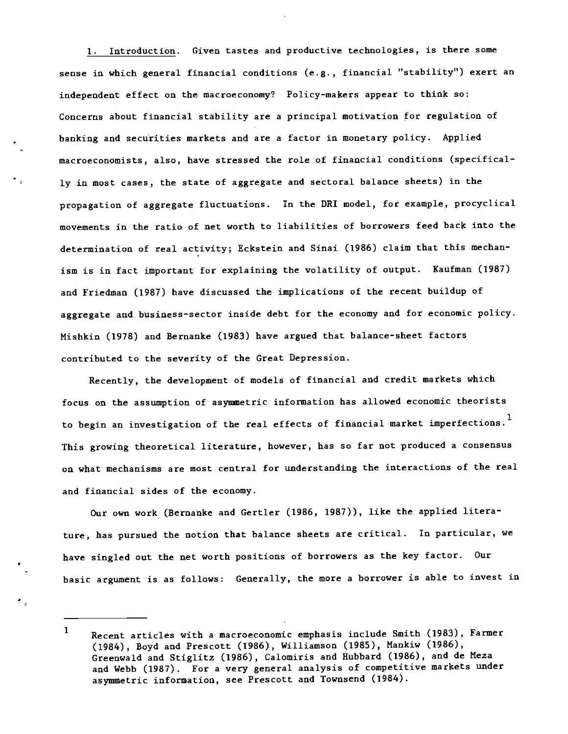1. Introduction. Given tastes and productive technologies, is there some sense in which general financial conditions (e.g., financial "stability") exert an independent effect on the macroeconomy? Policy-makers appear to think so: Concerns about financial stability are a principal motivation for regulation of banking and securities markets and are a factor in monetary policy. Applied macroeconomists, also, have stressed the role of financial conditions (specifically in most cases, the state of aggregate and sectoral balance sheets) in the propagation of aggregate fluctuations. In the DRI model, for example, procyclical movements in the ratio of net worth to liabilities of borrowers feed back into the determination of real activity; Eckstein and Sinai (1986) claim that this mechanism is in fact important for explaining the volatility of output. Kaufman (1987) and Friedman (1987) have discussed the implications of the recent buildup of aggregate and business-sector inside debt for the economy and for economic policy. Mishkin (1978) and Bernanke (1983) have argued that balance-sheet factors contributed to the severity of the Great Depression.

Recently, the development of models of financial and credit markets which focus on the assumption of asymmetric information has allowed economic theorists to begin an investigation of the real effects of financial market imperfections.<sup>1</sup> This growing theoretical literature, however, has so far not produced a consensus on what mechanisms are most central for understanding the interactions of the real and financial sides of the economy.

Our own work (Bernanke and Gertler (1986, 1987)), like the applied literature, has pursued the notion that balance sheets are critical. In particular, we have singled out the net worth positions of borrowers as the key factor. Our basic argument is as follows: Generally, the more a borrower is able to invest in

<sup>1</sup> Recent articles with a macroeconomic emphasis include Smith (1983), Farmer (1984), Boyd and Prescott (1986), Williamson (1985), Mankiw (1986), Greenwald and Stiglitz (1986), Calomiris and Hubbard (1986), and de Meza and Webb (1987). For a very general analysis of competitive markets under asymmetric information, see Prescott and Townsend (1984).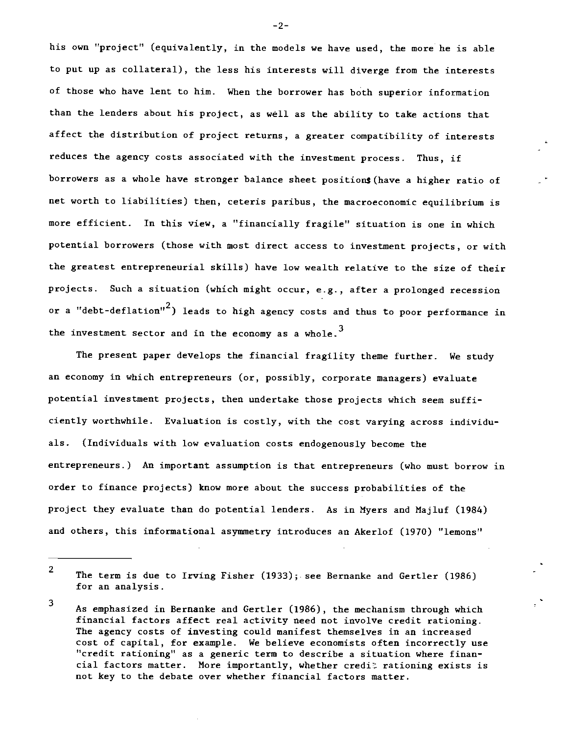his own "project" (equivalently, in the models we have used, the more he is able to put up as collateral), the less his interests will diverge from the interests of those who have lent to him. When the borrower has both superior information than the lenders about his project, as well as the ability to take actions that affect the distribution of project returns, a greater compatibility of interests reduces the agency costs associated with the investment process. Thus, if borrowers as a whole have stronger balance sheet positions (have a higher ratio of net worth to liabilities) then, ceteris paribus, the macroeconomic equilibrium is more efficient. In this view, a "financially fragile" situation is one in which potential borrowers (those with most direct access to investment projects, or with the greatest entrepreneurial skills) have low wealth relative to the size of their projects. Such a situation (which might occur, e.g., after a prolonged recession or a "debt-deflation"<sup>2</sup>) leads to high agency costs and thus to poor performance in the investment sector and in the economy as a whole.<sup>3</sup>

The present paper develops the financial fragility theme further. We study an economy in which entrepreneurs (or, possibly, corporate managers) evaluate potential investment projects, then undertake those projects which seem sufficiently worthwhile. Evaluation is costly, with the cost varying across individuals. (Individuals with low evaluation costs endogenously become the entrepreneurs.) An important assumption is that entrepreneurs (who must borrow in order to finance projects) know more about the success probabilities of the project they evaluate than do potential lenders. As in Myers and Majluf (1984) and others, this informational asymmetry introduces an Akerlof (1970) "lemons"

—2-

 $^2$  The term is due to Irving Fisher (1933); see Bernanke and Gertler (1986) for an analysis.

<sup>3</sup> . As emphasized in Bernanke and Gertler (1986), the mechanism through which financial factors affect real activity need not involve credit rationing. The agency costs of investing could manifest themselves in an increased cost of capital, for example. We believe economists often incorrectly use "credit rationing" as a generic term to describe a situation where financial factors matter. More importantly, whether credit rationing exists is not key to the debate over whether financial factors matter.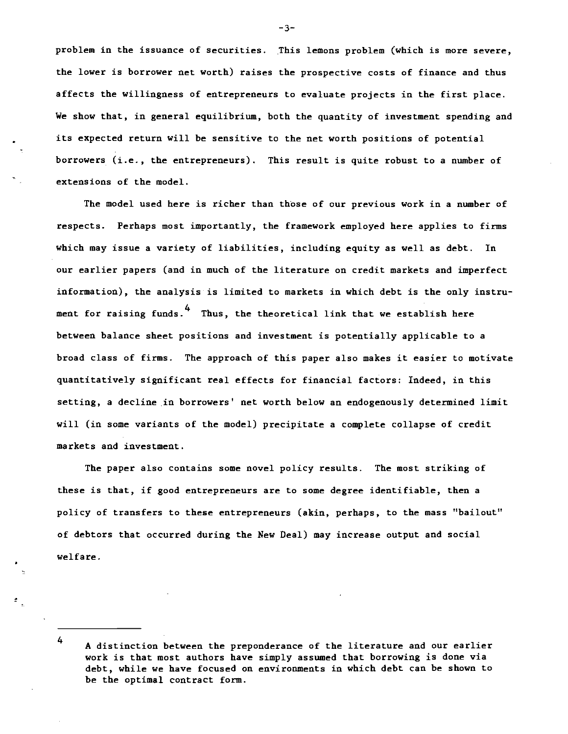problem in the issuance of securities. This lemons problem (which is more severe, the lower is borrower net worth) raises the prospective costs of finance and thus affects the willingness of entrepreneurs to evaluate projects in the first place. We show that, in general equilibrium, both the quantity of investment spending and its expected return will be sensitive to the net worth positions of potential borrowers (i.e., the entrepreneurs). This result is quite robust to a number of extensions of the model.

The model used here is richer than those of our previous work in a number of respects. Perhaps most importantly, the framework employed here applies to firms which may issue a variety of liabilities, including equity as well as debt. In our earlier papers (and in much of the literature on credit markets and imperfect information), the analysis is limited to markets in which debt is the only instrument for raising funds.<sup>4</sup> Thus, the theoretical link that we establish here between balance sheet positions and investment is potentially applicable to a broad class of firms. The approach of this paper also makes it easier to motivate quantitatively significant real effects for financial factors: Indeed, in this setting, a decline in borrowers' net worth below an endogenously determined limit will (in some variants of the model) precipitate a complete collapse of credit markets and investment.

The paper also contains some novel policy results. The most striking of these is that, if good entrepreneurs are to some degree identifiable, then a policy of transfers to these entrepreneurs (akin, perhaps, to the mass "bailout" of debtors that occurred during the New Deal) may increase output and social welfare.

-3-

<sup>4</sup> A distinction between the preponderance of the literature and our earlier work is that most authors have simply assumed that borrowing is done via debt, while we have focused on environments in which debt can be shown to be the optimal contract form.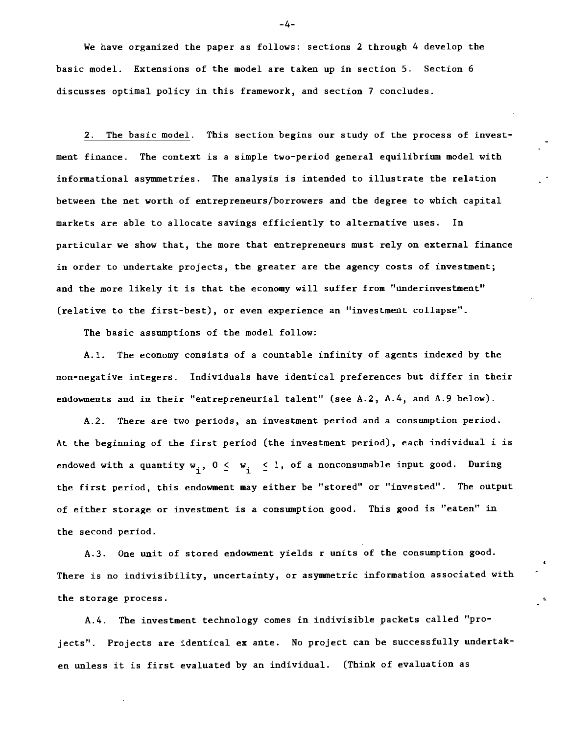We have organized the paper as follows: sections 2 through 4 develop the basic model. Extensions of the model are taken up in section 5. Section 6 discusses optimal policy in this framework, and section 7 concludes.

2. The basic model. This section begins our study of the process of investment finance. The context is a simple two-period general equilibrium model with informational asymmetries. The analysis is intended to illustrate the relation between the net worth-of entrepreneurs/borrowers and the degree to which capital markets are able to allocate savings efficiently to alternative uses. In particular we show that, the more that entrepreneurs must rely on external finance in order to undertake projects, the greater are the agency costs of investment; and the more likely it is that the economy will suffer from "underinvestment" (relative to the first-best), or even experience an "investment collapse".

The basic assumptions of the model follow:

A.l. The economy consists of a countable infinity of agents indexed by the non-negative integers. Individuals have identical preferences but differ in their endowments and in their "entrepreneurial talent" (see A.2, A.4, and A.9 below).

A.2. There are two periods, an investment period and a consumption period. At the beginning of the first period (the investment period), each individual i is endowed with a quantity  $w_i$ ,  $0 \leq w_i \leq 1$ , of a nonconsumable input good. During the first period, this endowment may either be "stored" or "invested". The output of either storage or investment is a consumption good. This good is "eaten" in the second period.

A.3. One unit of stored endowment yields r units of the consumption good. There is no indivisibility, uncertainty, or asymmetric information associated with the storage process.

 $\cdot$ 

A.4. The investment technology comes in indivisible packets called "projects". Projects are identical ex ante. No project can be successfully undertaken unless it is first evaluated by an individual. (Think of evaluation as

-4-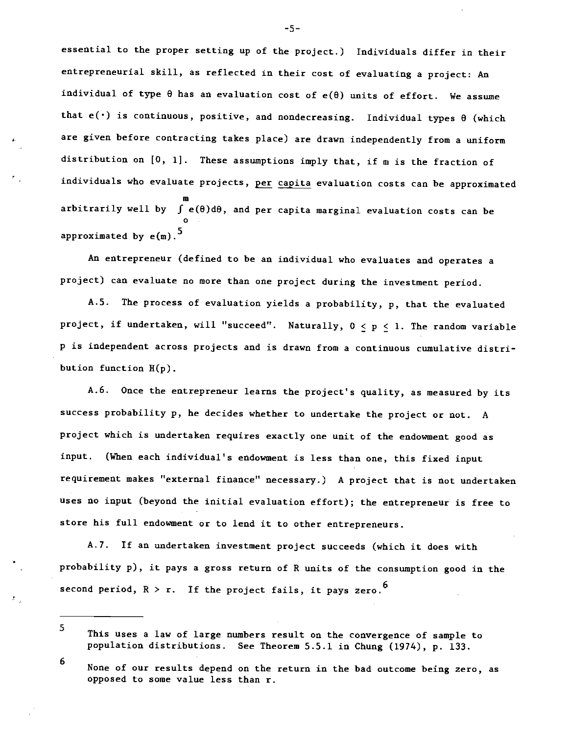essential to the proper setting up of the project.) Individuals differ in their entrepreneurial skill, as reflected in their cost of evaluating a project: An individual of type  $\theta$  has an evaluation cost of  $e(\theta)$  units of effort. We assume that  $e(\cdot)$  is continuous, positive, and nondecreasing. Individual types  $\theta$  (which are given before contracting takes place) are drawn independently from a uniform distribution on [0, 1]. These assumptions imply that, if m is the fraction of individuals who evaluate projects, per capita evaluation costs can be approximated m arbitrarily well by J e(0)d0, and per capita marginal evaluation costs can be approximated by  $e(m)$ .<sup>5</sup>

An entrepreneur (defined to be an individual who evaluates and operates a project) can evaluate no more than one project during the investment period.

A.5. The process of evaluation yields a probability, p, that the evaluated project, if undertaken, will "succeed". Naturally,  $0 \le p \le 1$ . The random variable p is independent across projects and is drawn from a continuous cumulative distribution function  $H(p)$ .

A.6. Once the entrepreneur learns the project's quality, as measured by its success probability p, he decides whether to undertake the project or not. A project which is undertaken requires exactly one unit of the endowment good as input. (When each individual's endowment is less than one, this fixed input requirement makes "external finance" necessary.) A project that is not undertaken uses no input (beyond the initial evaluation effort); the entrepreneur is free to store his full endowment or to lend it to other entrepreneurs.

A.7. If an undertaken investment project succeeds (which it does with probability p), it pays a gross return of R units of the consumption good in the second period,  $R > r$ . If the project fails, it pays zero.<sup>6</sup>

—5—

<sup>5</sup> This uses a law of large numbers result on the convergence of sample to population distributions. See Theorem 5.5.1 in Chung (1974), p. 133.

<sup>6</sup> None of our results depend on the return in the bad outcome being zero, as opposed to some value less than r.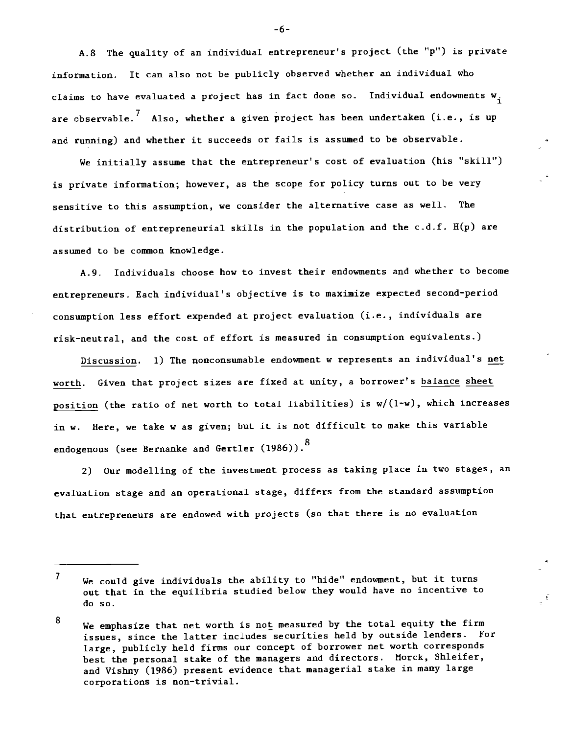A.8 The quality of an individual entrepreneur's project (the "p") is private information. It can also not be publicly observed whether an individual who claims to have evaluated a project has in fact done so. Individual endowments  $w_i$ are observable.<sup> $\ell$ </sup> Also, whether a given project has been undertaken (i.e., is up and running) and whether it succeeds or fails is assumed to be observable.

We initially assume that the entrepreneur's cost of evaluation (his "skill") is private information; however, as the scope for policy turns out to be very sensitive to this assumption, we consider the alternative case as well. The distribution of entrepreneurial skills in the population and the  $c.d.f.$   $H(p)$  are assumed to be common knowledge.

A.9. Individuals choose how to invest their endowments and whether to become entrepreneurs. Each individual's objective is to maximize expected second-period consumption less effort expended at project evaluation (i.e., individuals are risk-neutral, and the cost of effort is measured in consumption equivalents.)

Discussion. 1) The nonconsumable endowment w represents an individual's net worth. Given that project sizes are fixed at unity, a borrower's balance sheet position (the ratio of net worth to total liabilities) is w/(1-w), which increases in w. Here, we take w as given; but it is not difficult to make this variable endogenous (see Bernanke and Gertler (1986)).<sup>8</sup>

2) Our modelling of the investment process as taking place in two stages, an evaluation stage and an operational stage, differs from the standard assumption that entrepreneurs are endowed with projects (so that there is no evaluation

-6-

 $\overline{7}$ We could give individuals the ability to "hide" endowment, but it turns out that in the equilibria studied below they would have no incentive to do so.

<sup>8</sup> We emphasize that net worth is not measured by the total equity the firm issues, since the latter includes securities held by outside lenders. For large, publicly held firms our concept of borrower net worth corresponds best the personal stake of the managers and directors. Morck, Shleifer, and Vishny (1986) present evidence that managerial stake in many large corporations is non—trivial.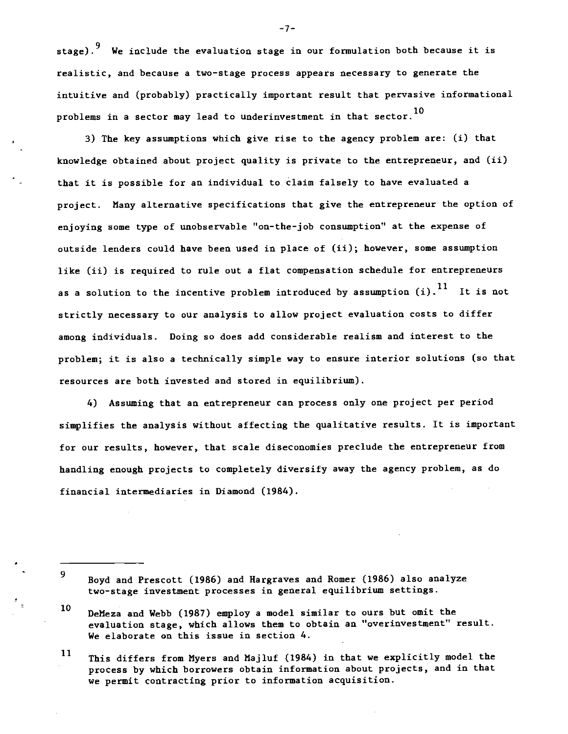stage).<sup>9</sup> We include the evaluation stage in our formulation both because it is realistic, and because a two-stage process appears necessary to generate the intuitive and (probably) practically important result that pervasive informational problems in a sector may lead to underinvestment in that sector.<sup>10</sup>

3) The key assumptions which give rise to the agency problem are: Ci) that knowledge obtained about project quality is private to the entrepreneur, and (ii) that it is possible for an individual to. claim falsely to have evaluated a project. Many alternative specifications that give the entrepreneur the option of enjoying some type of unobservable "on-the-job consumption" at the expense of outside lenders could have been used in place of (ii); however, some assumption like (ii) is required to rule out a flat compensation schedule for entrepreneurs as a solution to the incentive problem introduced by assumption  $(i)$ .<sup>11</sup> It is not strictly necessary to our analysis to allow project evaluation costs to differ among individuals. Doing so does add considerable realism and interest to the problem; it is also a technically simple way to ensure interior solutions (so that resources are both invested and stored in equilibrium).

4) Assuming that an entrepreneur can process only one project per period simplifies the analysis without affecting the qualitative results. It is important for our results, however, that scale diseconomies preclude the entrepreneur from handling enough projects to completely diversify away the agency problem, as do financial intermediaries in Diamond (1984).

- 9
- Boyd and Prescott (1986) and Hargraves and Romer (1986) also analyze two-stage investment processes in general equilibrium settings.
- 10 DeMeza and Webb (1987) employ a model similar to ours but omit the evaluation stage, which allows them to obtain an "overinvestment" result. We elaborate on this issue in section 4.
- $11$ This differs from Myers and Majluf (1984) in that we explicitly model the process by which borrowers obtain information about projects, and in that we permit contracting prior to information acquisition.

—7—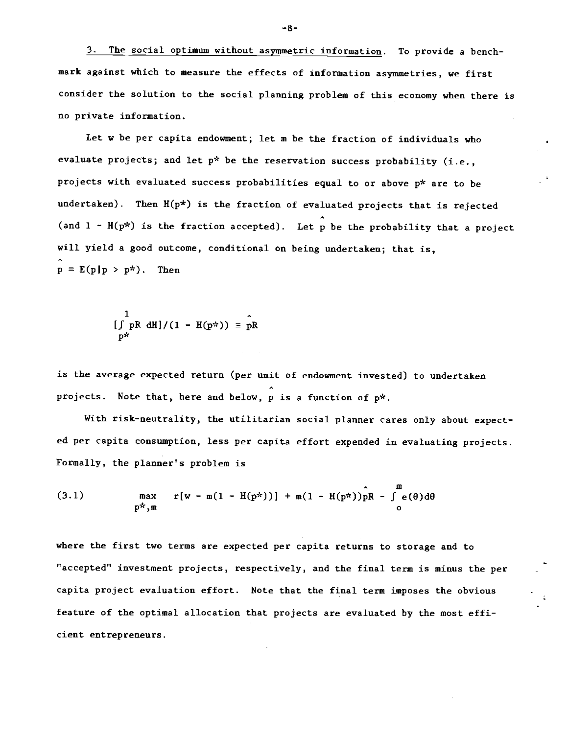3. The social optimum without asymmetric information. To provide a benchmark against which to measure the effects of information asymmetries, we first consider the solution to the social planning problem of this economy when there is no private information.

Let w be per capita endowment; let m be the fraction of individuals who evaluate projects; and let  $p^*$  be the reservation success probability (i.e., projects with evaluated success probabilities equal to or above p\* are to be undertaken). Then  $H(p^*)$  is the fraction of evaluated projects that is rejected (and  $1 - H(p^*)$  is the fraction accepted). Let p be the probability that a project will yield a good outcome, conditional on being undertaken; that is,  $p = E(p|p > p^*)$ . Then

$$
\iint\limits_{p^*} pR \ dH \, J/(1 - H(p^*)) \equiv \hat{p}R
$$

is the average expected return (per unit of endowment invested) to undertaken projects. Note that, here and below, p is a function of p\*.

With risk-neutrality, the utilitarian social planner cares only about expected per capita consumption, less per capita effort expended in evaluating projects. Formally, the planner's problem is

(3.1) 
$$
\max_{p^*, m} r[w - m(1 - H(p^*))] + m(1 - H(p^*))pR - \int_{0}^{m} e(\theta) d\theta
$$

where the first two terms are expected per capita returns to storage and to "accepted" investment projects, respectively, and the final term is minus the per capita project evaluation effort. Note that the final term imposes the obvious feature of the optimal allocation that projects are evaluated by the most efficient entrepreneurs.

-8—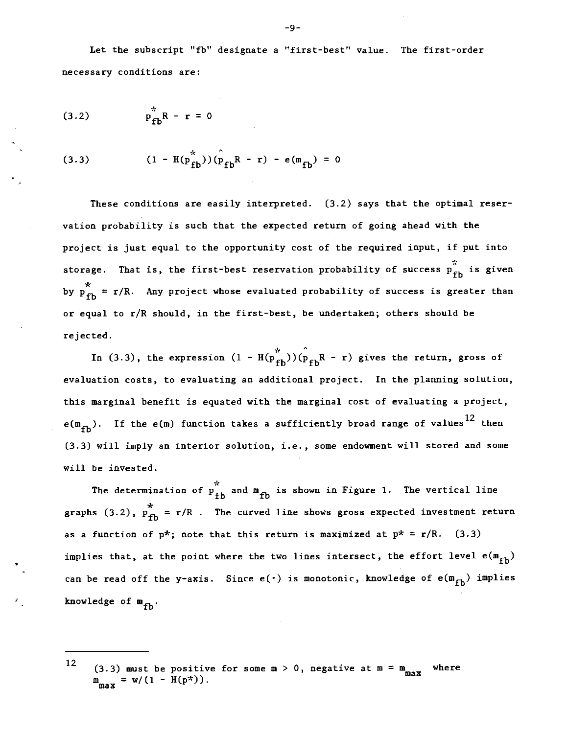Let the subscript "fb" designate a "first-best" value. The first-order necessary conditions are:

(3.2) 
$$
p_{fb}^* R - r = 0
$$

(3.3) 
$$
(1 - H(p_{fb}^{*})) (p_{fb} R - r) - e(m_{fb}) = 0
$$

These conditions are easily interpreted. (3.2) says that the optimal reservation probability is such that the expected return of going ahead with the project is just equal to the opportunity cost of the required input, if put into storage. That is, the first-best reservation probability of success  $\Pr_{\text{fh}}^*$  is given by  $p_{fh}^* = r/R$ . Any project whose evaluated probability of success is greater than or equal to r/R should, in the first-best, be undertaken; others should be rejected.

In (3.3), the expression  $(1 - H(p_{fb}^*))(\hat{p}_{fb}R - r)$  gives the return, gross of evaluation costs, to evaluating an additional project. In the planning solution, this marginal benefit is equated with the marginal cost of evaluating a project,  $e(m_{fb})$ . If the  $e(m)$  function takes a sufficiently broad range of values<sup>12</sup> then (3.3) will imply an interior solution, i.e., some endowment will stored and some will be invested.

The determination of  $\overrightarrow{p}_{\text{fh}}^*$  and  $m_{\text{fh}}$  is shown in Figure 1. The vertical line graphs (3.2),  $p_{f}^{*} = r/R$ . The curved line shows gross expected investment return as a function of  $p^*$ ; note that this return is maximized at  $p^* = r/R$ . (3.3) implies that, at the point where the two lines intersect, the effort level  $e(m_{fh})$ can be read off the y-axis. Since  $e(\cdot)$  is monotonic, knowledge of  $e(m_{fb})$  implies knowledge of  $m_{\text{th}}$ .

<sup>12 (3.3)</sup> must be positive for some  $m > 0$ , negative at  $m = m$  where  $m_{\text{max}} = w/(1 - H(p^*)).$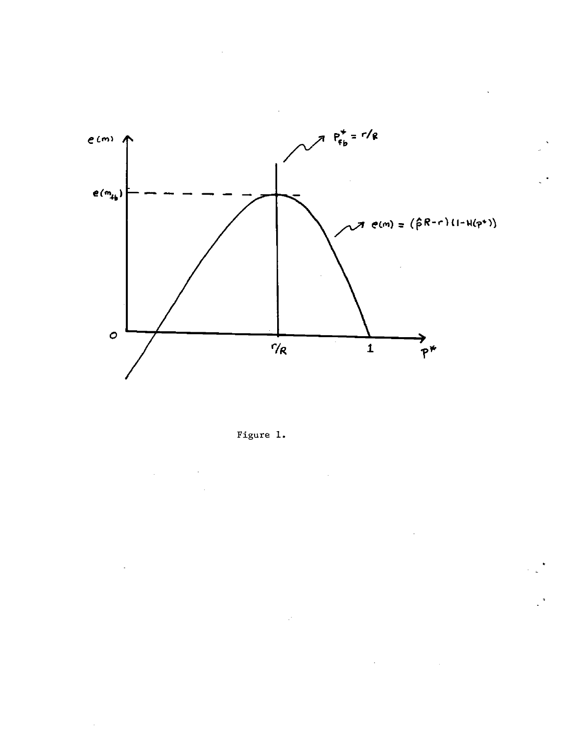

Figure 1.

 $\mathbb{R}^2$ 

 $\mathcal{L}^{\mathcal{A}}$ 

i.

 $\bar{\mathcal{A}}$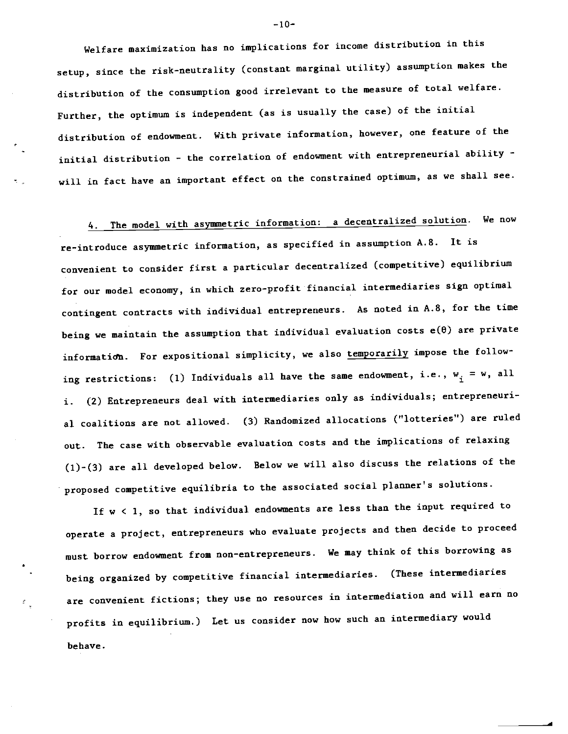Welfare maximization has no implications for income distribution in this setup, since the risk-neutrality (constant marginal utility) assumption makes the distribution of the consumption good irrelevant to the measure of total welfare. Further, the optimum is independent (as is usually the case) of the initial distribution of endowment. With private information, however, one feature of the initial distribution - the correlation of endowment with entrepreneurial ability will in fact have an important effect on the constrained optimum, as we shall see.

4. The model with asymmetric information: a decentralized solution. We now

re-introduce asymmetric information, as specified in assumption A.8. It is convenient to consider first a particular decentralized (competitive) equilibrium for our model economy, in which zero-profit financial intermediaries sign optimal contingent contracts with individual entrepreneurs. As noted in A.8, for the time being we maintain the assumption that individual evaluation costs  $e(\theta)$  are private information. For expositional simplicity, we also temporarily impose the following restrictions: (1) Individuals all have the same endowment, i.e.,  $w_i = w$ , all i. (2) Entrepreneurs deal with intermediaries only as individuals; entrepreneurial coalitions are not allowed. (3) Randomized allocations ("lotteries") are ruled out. The case with observable evaluation costs and the implications of relaxing (l)-(3) are all developed below. Below we will also discuss the relations of the proposed competitive equilibria to the associated social planner's solutions.

If w < 1, so that individual endowments are less than the input required to operate a project, entrepreneurs who evaluate projects and then decide to proceed must borrow endowment from non—entrepreneurs. We may think of this borrowing as being organized by competitive financial intermediaries. (These intermediaries are convenient fictions; they use no resources in intermediation and will earn no profits in equilibrium.) Let us consider now how such an intermediary would behave.

 $-10-$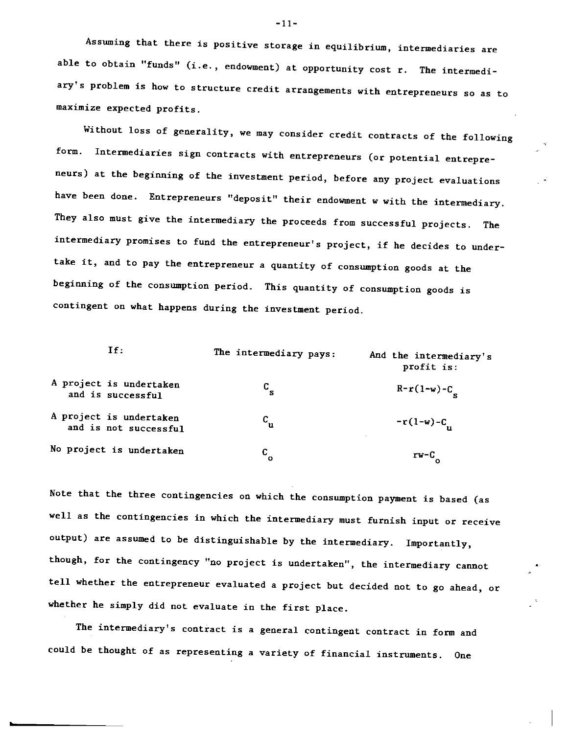Assuming that there is positive storage in equilibrium, intermediaries are able to obtain "funds" (i.e., endowment) at opportunity cost r. The intermediary's problem is how to structure credit arrangements with entrepreneurs so as to maximize expected profits.

Without loss of generality, we may consider credit contracts of the following form. Intermediaries sign contracts with entrepreneurs (or potential entrepreneurs) at the beginning of the investment period, before any project evaluations have been done. Entrepreneurs "deposit" their endowment w with the intermediary. They also must give the intermediary the proceeds from successful projects. The intermediary promises to fund the entrepreneur's project, if he decides to undertake it, and to pay the entrepreneur a quantity of consumption goods at the beginning of the consumption period. This quantity of consumption goods is contingent on what happens during the investment period.

| If:                                              | The intermediary pays: | And the intermediary's<br>profit is: |
|--------------------------------------------------|------------------------|--------------------------------------|
| A project is undertaken<br>and is successful     | C                      | $R-r(1-w)-C$                         |
| A project is undertaken<br>and is not successful | $c_{\bf u}$            | $-r(1-w)-C$                          |
| No project is undertaken                         | C<br>Ω                 | rw-C                                 |

Note that the three contingencies on which the consumption payment is based (as well as the contingencies in which the intermediary must furnish input or receive output) are assumed to be distinguishable by the intermediary. Importantly, though, for the contingency "no project is undertaken", the intermediary cannot tell whether the entrepreneur evaluated a project but decided not to go ahead, or whether he simply did not evaluate in the first place.

The intermediary's contract is a general contingent contract in form and could be thought of as representing a variety of financial instruments. One

 $-11-$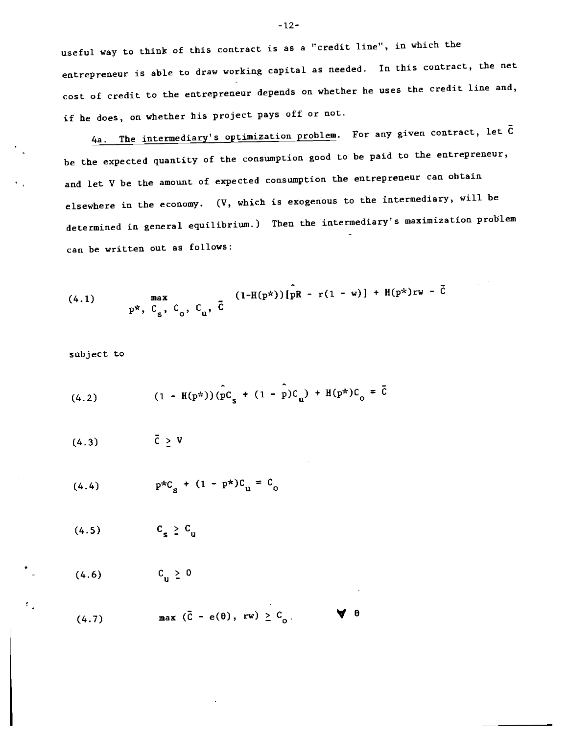useful way to think of this contract is as a "credit line", in which the entrepreneur is able to draw working capital as needed. In this contract, the net cost of credit to the entrepreneur depends on whether he uses the credit line and, if he does, on whether his project pays off or not.

4a. The intermediary's optimization problem. For any given contract, let  $\bar{C}$ be the expected quantity of the consumption good to be paid to the entrepreneur, and let V be the amount of expected consumption the entrepreneur can obtain elsewhere in the economy. (V, which is exogenous to the intermediary, will be determined in general equilibrium.) Then the intermediary's maximization problem can be written out as follows:

(4.1) 
$$
\max_{p^*, C_s, C_o, C_u, \bar{C}} \left[ (1 - H(p^*)) \left[ \hat{p} R - r(1 - w) \right] + H(p^*)rw - \bar{C} \right]
$$

subject to

(4.2) 
$$
(1 - H(p^*)) (\hat{p}C_g + (1 - \hat{p})C_g) + H(p^*)C_o = \bar{C}
$$

 $\overline{C} > V$ (4.3)

(4.4) 
$$
p * C_{s} + (1 - p^{*})C_{u} = C_{o}
$$

(4.5)  $C_{\rm g} \ge C_{\rm u}$ 

(4.6)  $C_{\text{u}} \ge 0$ 

(4.7) 
$$
\text{max} (\bar{C} - e(\theta), rw) \geq C_0
$$
  $\forall \theta$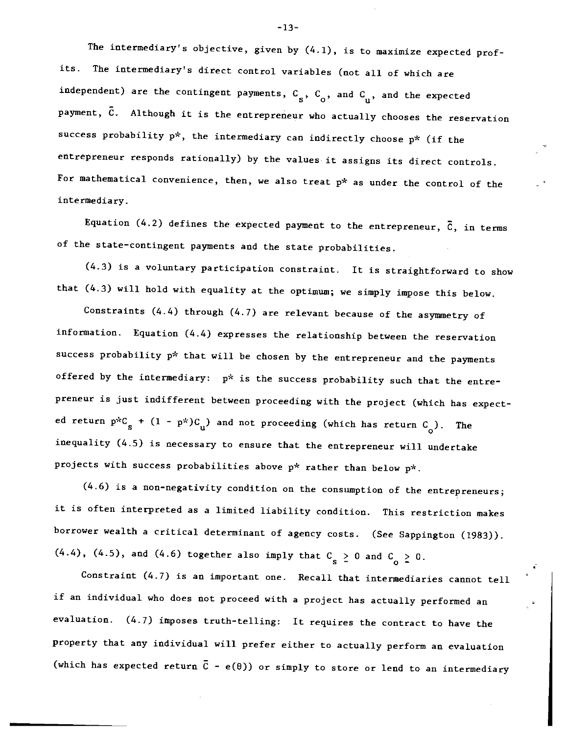The intermediary's objective, given by  $(4.1)$ , is to maximize expected profits. The intermediary's direct control variables (not all of which are independent) are the contingent payments,  $C_{S}$ ,  $C_{o}$ , and  $C_{u}$ , and the expected payment, C. Although it is the entrepreneur who actually chooses the reservation success probability  $p^*$ , the intermediary can indirectly choose  $p^*$  (if the entrepreneur responds rationally) by the values it assigns its direct controls. For mathematical convenience, then, we also treat p\* as under the control of the intermediary.

Equation (4.2) defines the expected payment to the entrepreneur,  $\bar{c}$ , in terms of the state-contingent payments and the state probabilities.

(4.3) is a voluntary participation constraint. It is straightforward to show that (4.3) will hold with equality at the optimum; we simply impose this below.

Constraints (4.4) through (4.7) are relevant because of the asymmetry of information. Equation (4.4) expresses the relationship between the reservation success probability  $p^*$  that will be chosen by the entrepreneur and the payments offered by the intermediary:  $p^*$  is the success probability such that the entrepreneur is just indifferent between proceeding with the project (which has expected return  $p*C_g + (1 - p*)C_n$  and not proceeding (which has return  $C_o$ ). The inequality (4.5) is necessary to ensure that the entrepreneur will undertake projects with success probabilities above  $p^*$  rather than below  $p^*$ .

(4.6) is a non-negativity condition on the consumption of the entrepreneurs; it is often interpreted as a limited liability condition. This restriction makes borrower wealth a critical determinant of agency costs. (See Sappington (1983)).  $(4.4)$ ,  $(4.5)$ , and  $(4.6)$  together also imply that  $C_{\rm s} \ge 0$  and  $C_{\rm o} \ge 0$ .

Constraint (4.7) is an important one. Recall that intermediaries cannot tell if an individual who does not proceed with a project has actually performed an evaluation. (4.7) imposes truth-telling: It requires the contract to have the property that any individual will prefer either to actually perform an evaluation (which has expected return  $\bar{c}$  - e( $\theta$ )) or simply to store or lend to an intermediary

-13-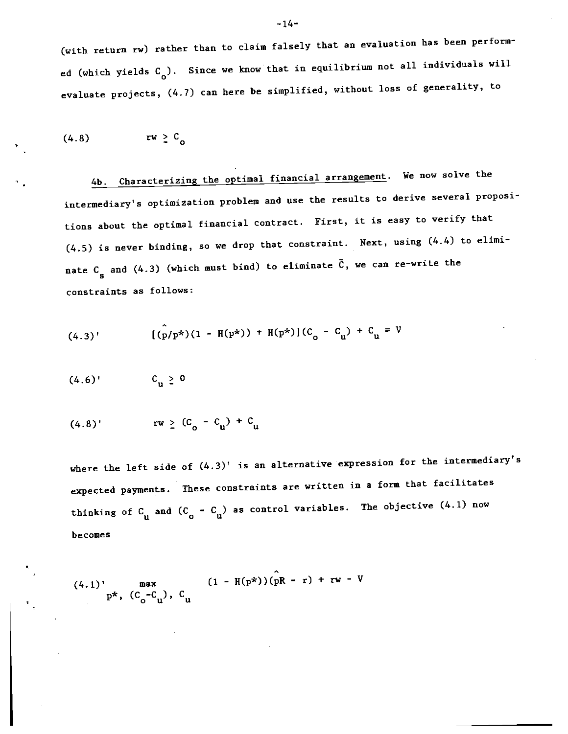(with return rw) rather than to claim falsely that an evaluation has been performed (which yields  $C_{\text{o}}$ ). Since we know that in equilibrium not all individuals will evaluate projects, (4.7) can here be simplified, without loss of generality, to

$$
(4.8) \t\t\t rw \geq C_0
$$

4b. Characterizing the optimal financial arrangement. We now solve the intermediary's optimization problem and use the results to derive several propositions about the optimal financial contract. First, it is easy to verify that (4.5) is never binding, so we drop that constraint. Next, using (4.4) to eliminate C<sub>s</sub> and (4.3) (which must bind) to eliminate  $\bar{C}$ , we can re-write the constraints as follows:

(4.3)' 
$$
[(\hat{p}/p^{*})(1 - H(p^{*})) + H(p^{*})](C_{o} - C_{u}) + C_{u} = V
$$

$$
(4.6)^\dagger \qquad \qquad C_{\mathbf{u}} \geq 0
$$

$$
(4.8)^{t} \t\t rv \t 2 (C_0 - C_u) + C_u
$$

where the left side of  $(4.3)$ ' is an alternative expression for the intermediary's expected payments. These constraints are written in a form that facilitates thinking of  $C_{u}$  and  $(C_{o} - C_{u})$  as control variables. The objective  $(4.1)$  now becomes

(4.1) 
$$
\max_{p^*, (C_0 - C_1)}, C_0
$$
 (1 - H(p\*))(pR - r) + rw - V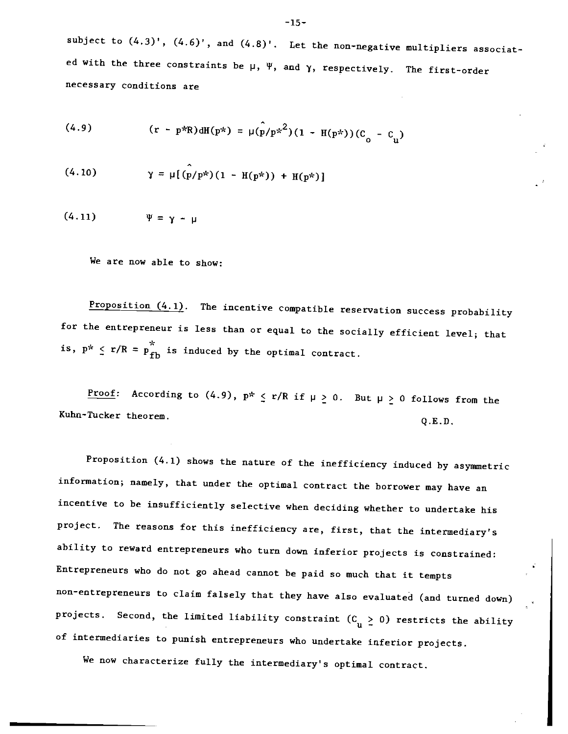subject to  $(4.3)'$ ,  $(4.6)'$ , and  $(4.8)'$ . Let the non-negative multipliers associated with the three constraints be  $\mu$ ,  $\Psi$ , and  $\gamma$ , respectively. The first-order necessary conditions are

(4.9) 
$$
(r - p * R) dH(p*) = \mu(\hat{p}/p *^2) (1 - H(p*)) (C_0 - C_1)
$$

(4.10) 
$$
\gamma = \mu [(p/p^*) (1 - H(p^*)) + H(p^*)]
$$

$$
(4.11) \t\t\t \Psi = \gamma - \mu
$$

We are now able to show:

Proposition  $(4.1)$ . The incentive compatible reservation success probability for the entrepreneur is less than or equal to the socially efficient level; that is,  $p^* \le r/R = p_{fb}^*$  is induced by the optimal contract.

Proof: According to (4.9),  $p^* \le r/R$  if  $\mu \ge 0$ . But  $\mu \ge 0$  follows from the Kuhn-Tucker theorem. Q.E.D.

Proposition (4.1) shows the nature of the inefficiency induced by asymmetric information; namely, that under the optimal contract the borrower may have an incentive to be insufficiently selective when deciding whether to undertake his project. The reasons for this inefficiency are, first, that the intermediary's ability to reward entrepreneurs who turn down inferior projects is constrained: Entrepreneurs who do not go ahead cannot be paid so much that it tempts non-entrepreneurs to claim falsely that they have also evaluated (and turned down) projects. Second, the limited liability constraint  $(C_u > 0)$  restricts the ability of intermediaries to punish entrepreneurs who undertake inferior projects.

We now characterize fully the intermediary's optimal contract.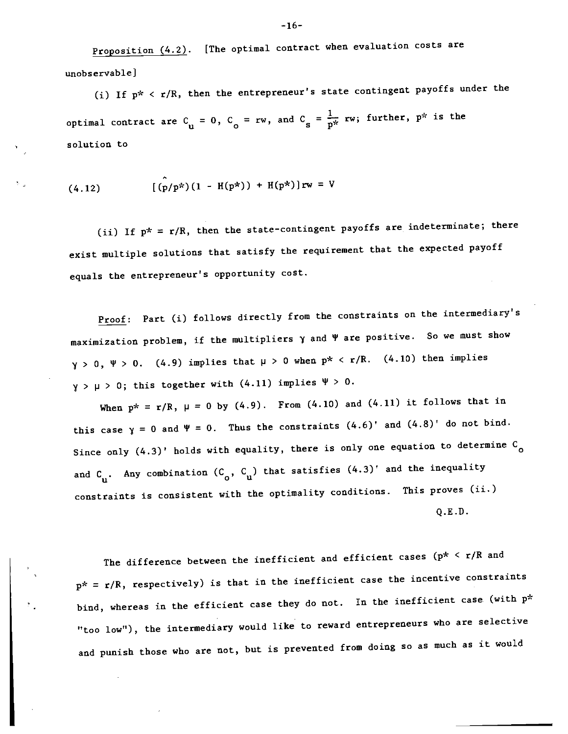Proposition  $(4.2)$ . [The optimal contract when evaluation costs are unobservable]

(i) If  $p^*$  <  $r/R$ , then the entrepreneur's state contingent payoffs under the optimal contract are  $C_{\mathbf{u}} = 0$ ,  $C_{\mathbf{o}} = \mathbf{r} \mathbf{w}$ , and  $C_{\mathbf{s}} = \frac{1}{p^*} \mathbf{r} \mathbf{w}$ ; further,  $p^*$  is the solution to

(4.12) 
$$
[(p/p^*) (1 - H(p^*)) + H(p^*)]rw = V
$$

(ii) If  $p^* = r/R$ , then the state-contingent payoffs are indeterminate; there exist multiple solutions that satisfy the requirement that the expected payoff equals the entrepreneur's opportunity cost.

Proof: Part (i) follows directly from the constraints on the intermediary's maximization problem, if the multipliers  $\gamma$  and  $\Psi$  are positive. So we must show  $y > 0$ ,  $\Psi > 0$ . (4.9) implies that  $\mu > 0$  when  $p^* < r/R$ . (4.10) then implies  $y > \mu > 0$ ; this together with (4.11) implies  $\Psi > 0$ .

When  $p^* = r/R$ ,  $\mu = 0$  by (4.9). From (4.10) and (4.11) it follows that in this case  $y = 0$  and  $\Psi = 0$ . Thus the constraints  $(4.6)'$  and  $(4.8)'$  do not bind. Since only  $(4.3)$ ' holds with equality, there is only one equation to determine  $C_{\alpha}$ and  $C_{\text{u}}$ . Any combination  $(C_{\text{o}}^{\dagger}, C_{\text{u}}^{\dagger})$  that satisfies  $(4.3)^{\dagger}$  and the inequality constraints is consistent with the optimality conditions. This proves (ii.) Q.E.D.

The difference between the inefficient and efficient cases ( $p^* \le r/R$  and  $p^* = r/R$ , respectively) is that in the inefficient case the incentive constraints bind, whereas in the efficient case they do not. In the inefficient case (with  $p^*$ "too low"), the intermediary would like to reward entrepreneurs who are selective and punish those who are not, but is prevented from doing so as much as it would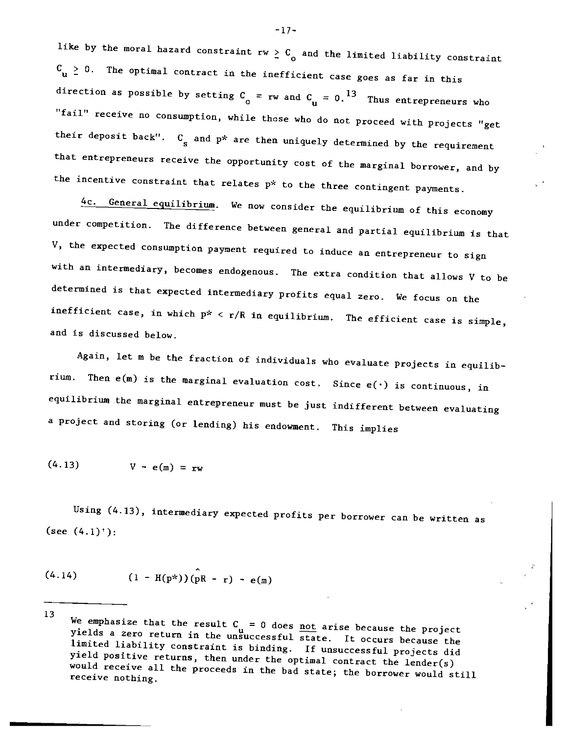like by the moral hazard constraint rw  $\geq C_{\rm o}$  and the limited liability constraint  $C_{\text{u}} \geq 0$ . The optimal contract in the inefficient case goes as far in this direction as possible by setting  $C_{\text{o}} = rw$  and  $C_{\text{u}} = 0.13$  Thus entrepreneurs who "fail" receive no consumption, while those who do not proceed with projects "get their deposit back".  $C_{s}$  and  $p^{*}$  are then uniquely determined by the requirement that entrepreneurs receive the opportunity cost of the marginal borrower, and by the incentive constraint that relates p\* to the three contingent payments.

4c. General equilibrium. We now consider the equilibrium of this economy under competition. The difference between general and partial equilibrium is that V, the expected consumption payment required to induce an entrepreneur to sign with an intermediary, becomes endogenous. The extra condition that allows V to be determined is that expected intermediary profits equal zero. We focus on the inefficient case, in which  $p* < r/R$  in equilibrium. The efficient case is simple, and is discussed below.

Again, let m be the fraction of individuals who evaluate projects in equilibrium. Then  $e(m)$  is the marginal evaluation cost. Since  $e(\cdot)$  is continuous, in equilibrium the marginal entrepreneur must be just indifferent between evaluating a project and storing (or lending) his endowment. This implies

$$
(4.13) \tV - e(m) = rw
$$

Using (4.13), intermediary expected profits per borrower can be written as (see  $(4.1)$ <sup>+</sup>):

$$
(4.14) \t\t (1 - H(p^*)) (pR - r) - e(m)
$$

—17—

<sup>13</sup> We emphasize that the result  $C_{11} = 0$  does <u>not</u> arise because the project yields a zero return in the unsuccessful state. It occurs because the limited liability constraint is binding. If unsuccessful projects did would receive all the proceeds in the bad state; the borrower would still receive nothing.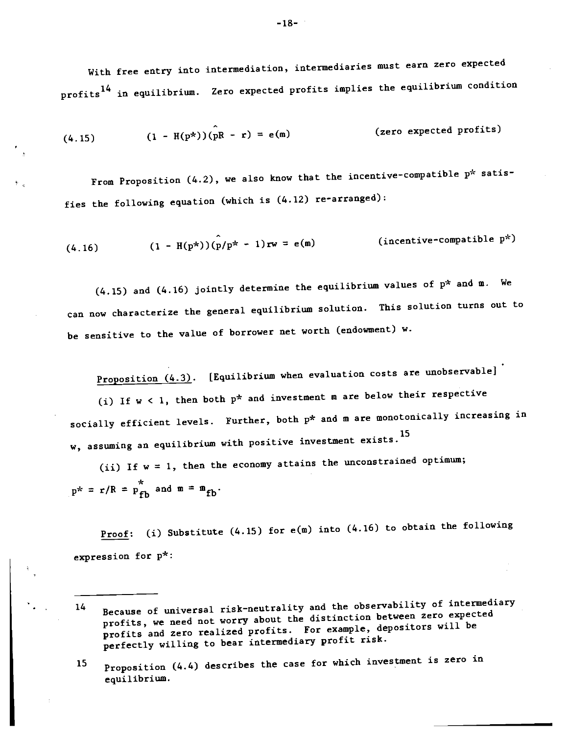With free entry into intermediation, intermediaries must earn zero expected profits<sup>14</sup> in equilibrium. Zero expected profits implies the equilibrium condition

$$
(4.15) \qquad (1 - H(p^*)) (\stackrel{\frown}{pR} - r) = e(m) \qquad \qquad \text{(zero expected profits)}
$$

From Proposition (4.2), we also know that the incentive-compatible p\* satisfies the following equation (which is  $(4.12)$  re-arranged):

(4.16) 
$$
(1 - H(p^*)) (p/p^* - 1)rw = e(m)
$$
 (incentive-compatible p<sup>\*</sup>)

(4.15) and (4.16) jointly determine the equilibrium values of  $p^{\star}$  and  $\texttt{m}$ . We can now characterize the general equilibrium solution. This solution turns out to be sensitive to the value of borrower net worth (endowment) w.

Proposition  $(4.3)$ . [Equilibrium when evaluation costs are unobservable]

(i) If  $w < 1$ , then both  $p^*$  and investment m are below their respective socially efficient levels. Further, both p\* and m are monotonically increasing in w, assuming an equilibrium with positive investment exists.15

(ii) If  $w = 1$ , then the economy attains the unconstrained optimum;  $p^* = r/R = p_{fh}^*$  and  $m = m_{fh}$ .

Proof: (i) Substitute  $(4.15)$  for  $e(m)$  into  $(4.16)$  to obtain the following expression for p\*:

-18-

<sup>14</sup> Because of universal risk-neutrality and the observability of intermediary profits, we need not worry about the distinction between zero expected profits and zero realized profits. For example, depositors will be perfectly willing to bear intermediary profit risk.

<sup>15</sup> Proposition (4.4) describes the case for which investment is zero in equilibrium.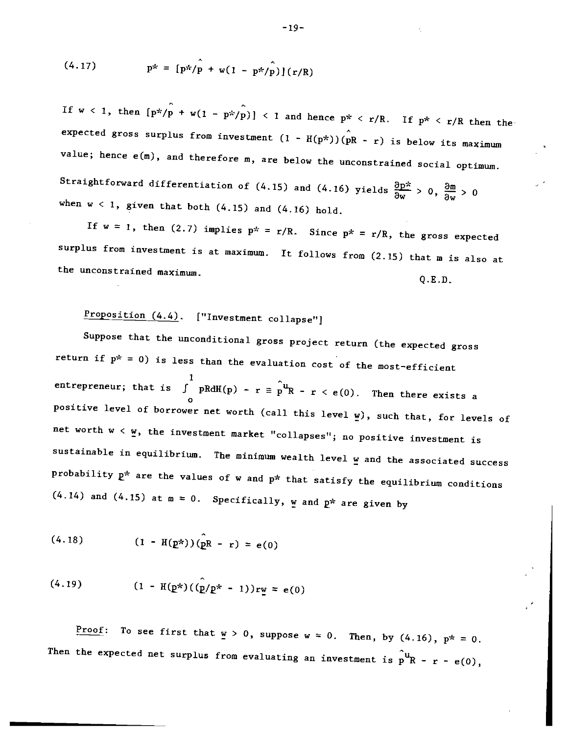(4.17) 
$$
p^* = [p^*/p + w(1 - p^*/p)](r/R)
$$

If  $w < 1$ , then  $[p^*/p + w(1 - p^*/p)] < 1$  and hence  $p^* < r/R$ . If  $p^* < r/R$  then the expected gross surplus from investment  $(1 - H(p^*))(\overline{p}R - r)$  is below its maximum value; hence e(m), and therefore m, are below the unconstrained social optimum. Straightforward differentiation of (4.15) and (4.16) yields  $\frac{\partial p^*}{\partial w} > 0$ ,  $\frac{\partial m}{\partial w} > 0$ when  $w < 1$ , given that both  $(4.15)$  and  $(4.16)$  hold.

If w = 1, then (2.7) implies  $p^* = r/R$ . Since  $p^* = r/R$ , the gross expected surplus from investment is at maximum. It follows from (2.15) that m is also at the unconstrained maximum. Q.E.D.

Proposition  $(4.4)$ . ["Investment collapse"]

Suppose that the unconditional gross project return (the expected gross return if  $p^* = 0$ ) is less than the evaluation cost of the most-efficient entrepreneur; that is  $\int$  pRdH(p) - r =  $\hat{p}^u$ R - r < e(0). Then there exists a positive level of borrower net worth (call this level  $\underline{w}$ ), such that, for levels of net worth w < w, the investment market "collapses"; no positive investment is sustainable in equilibrium. The minimum wealth level w and the associated success probability  $p^*$  are the values of w and  $p^*$  that satisfy the equilibrium conditions  $(4.14)$  and  $(4.15)$  at  $m = 0$ . Specifically, w and  $p^*$  are given by

$$
(4.18) \t\t (1 - H(p*))(pR - r) = e(0)
$$

$$
(4.19) \qquad (1 - H(p^*)((p/p^* - 1))rw = e(0)
$$

Proof: To see first that  $w > 0$ , suppose  $w = 0$ . Then, by (4.16),  $p^* = 0$ . Then the expected net surplus from evaluating an investment is  $\hat{p}^{\mathbf{u}}$ R - r - e(0),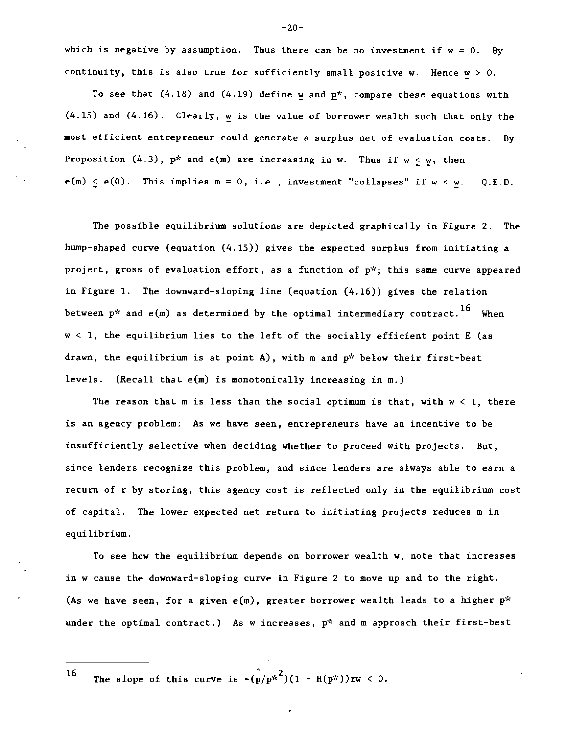which is negative by assumption. Thus there can be no investment if  $w = 0$ . By continuity, this is also true for sufficiently small positive w. Hence  $w > 0$ .

To see that  $(4.18)$  and  $(4.19)$  define w and  $p^*$ , compare these equations with (4.15) and (4.16). Clearly, w is the value of borrower wealth such that only the most efficient entrepreneur could generate a surplus net of evaluation costs. By Proposition  $(4.3)$ ,  $p^*$  and  $e(m)$  are increasing in w. Thus if  $w < w$ , then  $e(m) < e(0)$ . This implies  $m = 0$ , i.e., investment "collapses" if  $w < w$ . Q.E.D.

The possible equilibrium solutions are depicted graphically in Figure 2. The hump-shaped curve (equation (4.15)) gives the expected surplus from initiating a project, gross of evaluation effort, as a function of p\*; this same curve appeared in Figure 1. The downward-sloping line (equation (4.16)) gives the relation between  $p^*$  and  $e(m)$  as determined by the optimal intermediary contract.<sup>16</sup> When w < 1, the equilibrium lies to the left of the socially efficient point E (as drawn, the equilibrium is at point A), with m and  $p^*$  below their first-best levels. (Recall that e(m) is monotonically increasing in m.)

The reason that m is less than the social optimum is that, with  $w < 1$ , there is an agency problem: As we have seen, entrepreneurs have an incentive to be insufficiently selective when deciding whether to proceed with projects. But, since lenders recognize this problem, and since lenders are always able to earn a return of r by storing, this agency cost is reflected only in the equilibrium cost of capital. The lower expected net return to initiating projects reduces m in equilibrium.

To see how the equilibrium depends on borrower wealth w, note that increases in w cause the downward-sloping curve in Figure 2 to move up and to the right. (As we have seen, for a given  $e(m)$ , greater borrower wealth leads to a higher  $p^*$ under the optimal contract.) As w increases,  $p^*$  and m approach their first-best

ý.

16 The slope of this curve is  $-(p/p^{*2})(1 - H(p^*))rw < 0$ .

-20-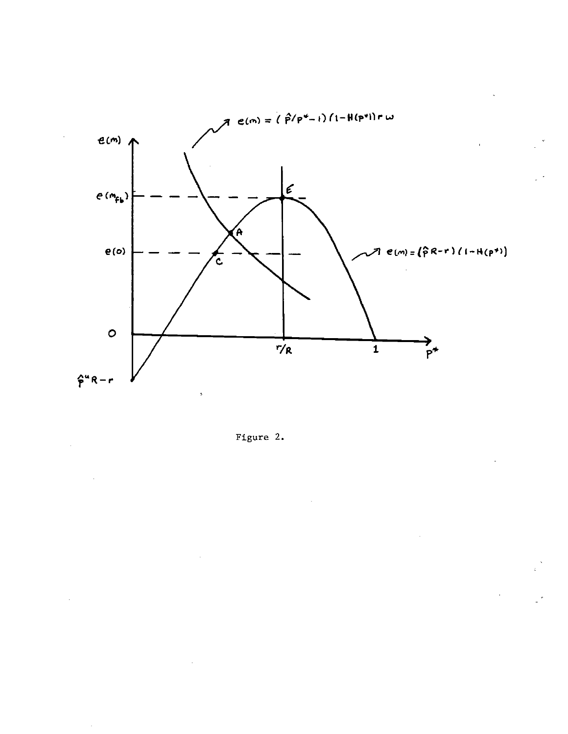

Figure 2.

 $\sim$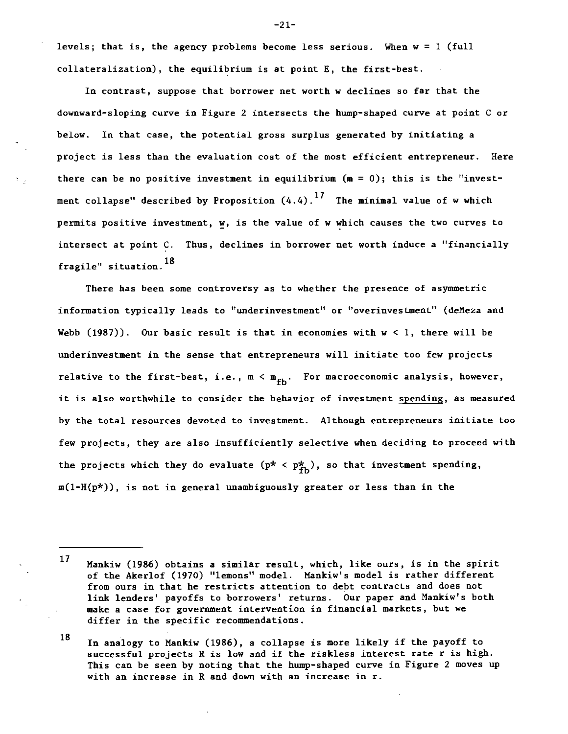levels; that is, the agency problems become less serious. When w = <sup>1</sup> (full collateralization), the equilibrium is at point E, the first-best.

In contrast, suppose that borrower net worth w declines so far that the downward-sloping curve in Figure 2 intersects the hump-shaped curve at point C or below. In that case, the potential gross surplus generated by initiating a project is less than the evaluation cost of the most efficient entrepreneur. Here there can be no positive investment in equilibrium  $(m = 0)$ ; this is the "investment collapse" described by Proposition  $(4.4).$ <sup>17</sup> The minimal value of w which permits positive investment, w, is the value of w which causes the two curves to intersect at point C. Thus, declines in borrower net worth induce a "financially fragile" situation. 18

There has been some controversy as to whether the presence of asymmetric information typically leads to "underinvestment" or "overinvestment" (deMeza and Webb  $(1987)$ ). Our basic result is that in economies with  $w < 1$ , there will be underinvestment in the sense that entrepreneurs will initiate too few projects relative to the first-best, i.e.,  $m < m_{fh}$ . For macroeconomic analysis, however, it is also worthwhile to consider the behavior of investment spending, as measured by the total resources devoted to investment. Although entrepreneurs initiate too few projects, they are also insufficiently selective when deciding to proceed with the projects which they do evaluate  $(p^* \lt p_{\text{fb}}^*)$ , so that investment spending, m(1-H(p\*)), is not in general unambiguously greater or less than in the

-21-

<sup>17</sup> Hankiw (1986) obtains a similar result, which, like ours, is in the spirit of the Akerlof (1970) "lemons" model. Mankiw's model is rather different from ours in that he restricts attention to debt contracts and does not link lenders' payoffs to borrowers' returns. Our paper and Nankiw's both make a case for government intervention in financial markets, but we differ in the specific recommendations.

<sup>18</sup> In analogy to Nankiw (1986), a collapse is more likely if the payoff to successful projects R is low and if the riskless interest rate r is high. This can be seen by noting that the hump-shaped curve in Figure 2 moves up with an increase in R and down with an increase in r.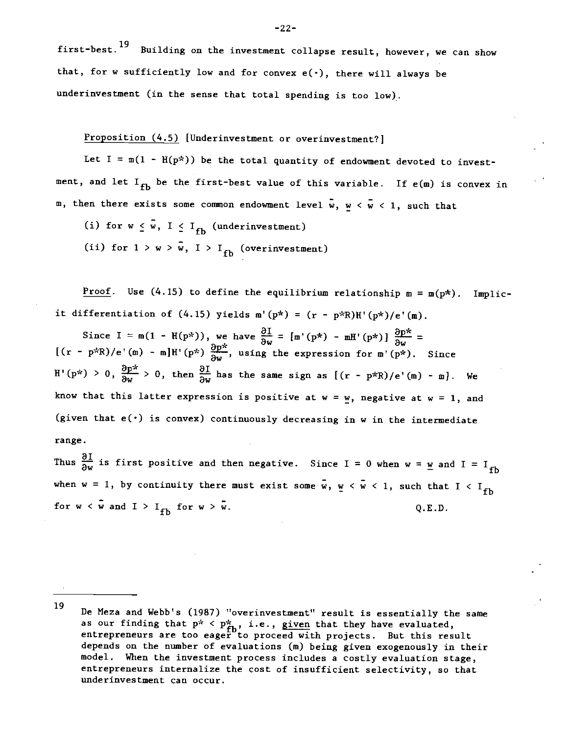first-best.<sup>19</sup> Building on the investment collapse result, however, we can show that, for w sufficiently low and for convex  $e(\cdot)$ , there will always be underinvestment (in the sense that total spending is too low).

# Proposition (4.5) [Underinvestment or overinvestment?]

Let  $I = m(1 - H(p^{\star}))$  be the total quantity of endowment devoted to investment, and let  $I_{fb}$  be the first-best value of this variable. If  $e(m)$  is convex in m, then there exists some common endowment level  $\bar{w}$ ,  $w < \bar{w} < 1$ , such that

(i) for  $w \leq \tilde{w}$ ,  $I \leq I_{\text{fb}}$  (underinvestment) (ii) for  $1 > w > \bar{w}$ ,  $I > I_{fb}$  (overinvestment)

Proof. Use (4.15) to define the equilibrium relationship  $m = m(p*)$ . Implicit differentiation of (4.15) yields  $m'(p^*) = (r - p^*R)H'(p^*)/e'(m)$ .

Since I =  $m(1 - H(p^*))$ , we have  $\frac{\partial L}{\partial w} = [m'(p^*) - mH'(p^*)] \frac{\partial p^*}{\partial w} =$  $[(r - p^k R)/e^k]$  - m]H'(p\*)  $\frac{\partial p^k}{\partial w}$ , using the expression for m'(p\*). Since H'(p\*) > 0,  $\frac{\partial p^*}{\partial w}$  > 0, then  $\frac{\partial I}{\partial w}$  has the same sign as  $[(r - p^*R)/e'(m) - m]$ . We know that this latter expression is positive at  $w = w$ , negative at  $w = 1$ , and (given that  $e(\cdot)$  is convex) continuously decreasing in w in the intermediate range.

Thus  $\frac{\partial I}{\partial w}$  is first positive and then negative. Since I = 0 when w = w and I = I<sub>fb</sub> when w = 1, by continuity there must exist some  $\bar{w}$ ,  $\underline{w} < \bar{w} < 1$ , such that I < I<sub>fb</sub> for  $w < \bar{w}$  and  $I > I_{fh}$  for  $w > \bar{w}$ . Q.E.D.

<sup>&</sup>lt;sup>19</sup> De Meza and Webb's (1987) "overinvestment" result is essentially the same as our finding that  $p^{\star}$  <  $p^{\star}_{\textbf{f} \textbf{h}}$ , i.e., given that they have evaluated, entrepreneurs are too eager to proceed with projects. But this result depends on the number of evaluations (m) being given exogenously in their model. When the investment process includes a costly evaluation stage, entrepreneurs internalize the cost of insufficient selectivity, so that underinvestment can occur.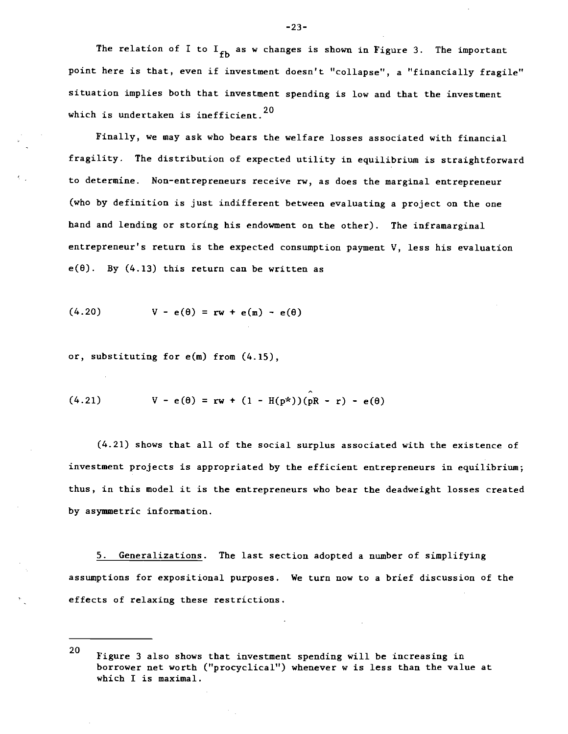The relation of I to  $I_{fb}$  as w changes is shown in Figure 3. The important point here is that, even if investment doesn't "collapse", a "financially fragile" situation implies both that investment spending is low and that the investment which is undertaken is inefficient.<sup>20</sup>

Finally, we may ask who bears the welfare losses associated with financial fragility. The distribution of expected utility in equilibrium is straightforward to determine. Non-entrepreneurs receive rw, as does the marginal entrepreneur (who by definition is just indifferent between evaluating a project on the one hand and lending or storing his endowment on the other). The inframarginal entrepreneur's return is the expected consumption payment V, less his evaluation  $e(\theta)$ . By  $(4.13)$  this return can be written as

$$
(4.20) \tV - e(\theta) = rw + e(m) - e(\theta)
$$

or, substituting for e(m) from (4.15),

(4.21) 
$$
V - e(\theta) = rw + (1 - H(p^*)) (pR - r) - e(\theta)
$$

(4.21) shows that all of the social surplus associated with the existence of investment projects is appropriated by the efficient entrepreneurs in equilibrium; thus, in this model it is the entrepreneurs who bear the deadweight losses created by asymmetric information.

5. Generalizations. The last section adopted a number of simplifying assumptions for expositional purposes. We turn now to a brief discussion of the effects of relaxing these restrictions.

-23-

<sup>20</sup> Figure 3 also shows that investment spending will be increasing in borrower net worth ("procyclical") whenever w is less than the value at which I is maximal.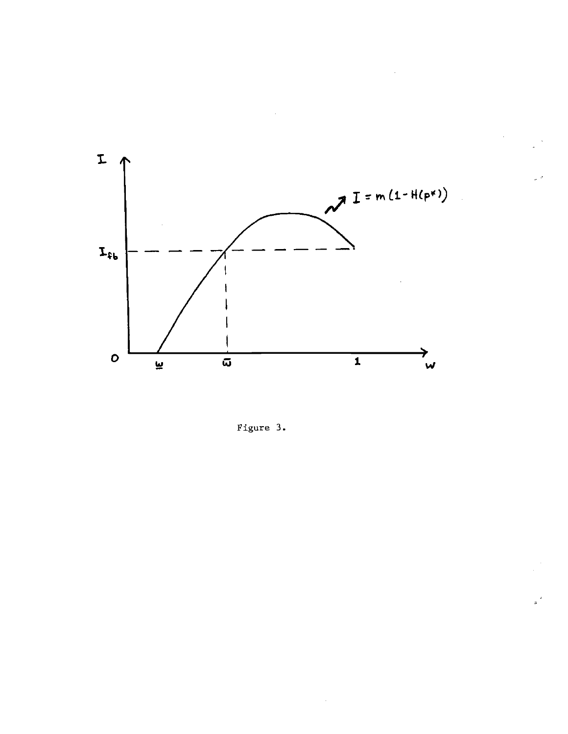

Figure 3.

 $\hat{\boldsymbol{\theta}}$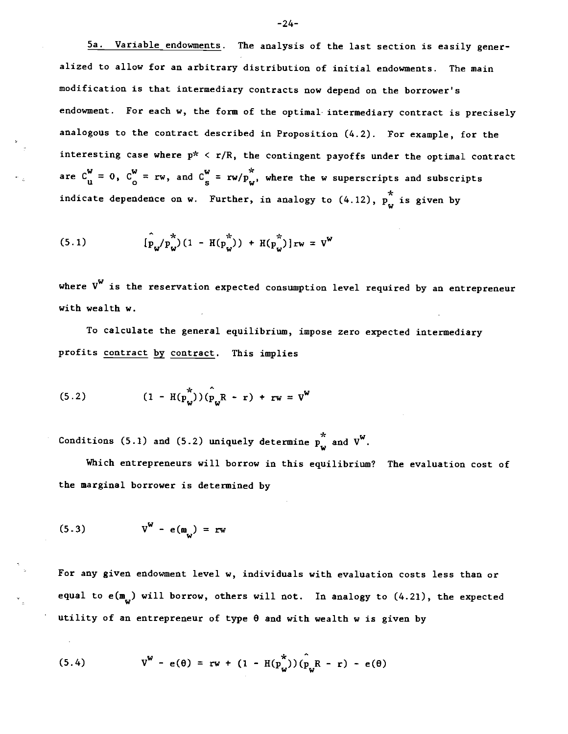5a. Variable endowments. The analysis of the last section is easily generalized to allow for an arbitrary distribution of initial endowments. The main modification is that intermediary contracts now depend on the borrower's endowment. For each w, the form of the optimal intermediary contract is precisely analogous to the contract described in Proposition (4.2). For example, for the interesting case where  $p^* \le r/R$ , the contingent payoffs under the optimal contract are  $C_{\mathbf{u}}^{\mathbf{w}} = 0$ ,  $C_{\mathbf{o}}^{\mathbf{w}} = \mathbf{rw}$ , and  $C_{\mathbf{s}}^{\mathbf{w}} = \mathbf{rw}/p_{\mathbf{w}}^*$ , where the w superscripts and subscripts indicate dependence on w. Further, in analogy to  $(4.12)$ ,  $p_{\omega}^{*}$  is given by

(5.1) 
$$
[\hat{p}_{w}/p_{w}^{\star}](1 - H(p_{w}^{\star})) + H(p_{w}^{\star})]_{TW} = V^{w}
$$

where  $V^{W}$  is the reservation expected consumption level required by an entrepreneur with wealth w.

To calculate the general equilibrium, impose zero expected intermediary profits contract by contract. This implies

(5.2) 
$$
(1 - H(p_w^*)) (p_w^R - r) + rw = v^W
$$

Conditions (5.1) and (5.2) uniquely determine  $p_{\omega}^*$  and  $V^W$ .

Which entrepreneurs will borrow in this equilibrium? The evaluation cost of the marginal borrower is determined by

$$
(5.3) \t VW - e(mci) = rw
$$

For any given endowment level w, individuals with evaluation costs less than or equal to e( $\mathbf{m}_{ij}$ ) will borrow, others will not. In analogy to (4.21), the expected utility of an entrepreneur of type  $\theta$  and with wealth w is given by

(5.4) 
$$
V^{W} - e(\theta) = rw + (1 - H(p_{W}^{*})) (\hat{p}_{W} R - r) - e(\theta)
$$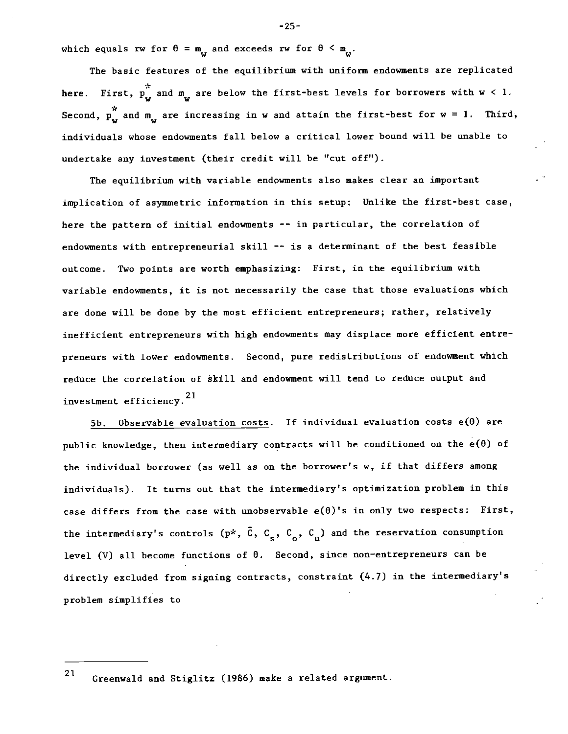which equals rw for  $\theta = m_{\nu}$  and exceeds rw for  $\theta \le m_{\nu}$ .

The basic features of the equilibrium with uniform endowments are replicated \* here. First,  $p_w$  and  $m_w$  are below the first-best levels for borrowers with  $w < 1$ . Second,  $p_{\omega}^{*}$  and  $m_{\omega}$  are increasing in w and attain the first-best for w = 1. Third, individuals whose endowments fall below a critical lower bound will be unable to undertake any investment (their credit will be "cut off").

The equilibrium with variable endqwments also makes clear an important implication of asymmetric information in this setup: Unlike the first-best case, here the pattern of initial endowments -- in particular, the correlation of endowments with entrepreneurial skill -- is a determinant of the best feasible outcome. Two points are worth emphasizing: First, in the equilibrium with variable endowments, it is not necessarily the case that those evaluations which are done will be done by the most efficient entrepreneurs; rather, relatively inefficient entrepreneurs with high endowments may displace more efficient entrepreneurs with lower endowments. Second, pure redistributions of endowment which reduce the correlation of skill and endowment will tend to reduce output and investment efficiency.21

5b. Observable evaluation costs. If individual evaluation costs  $e(\theta)$  are public knowledge, then intermediary contracts will be conditioned on the  $e(\theta)$  of the individual borrower (as well as on the borrower's w, if that differs among individuals). It turns out that the intermediary's optimization problem in this case differs from the case with unobservable  $e(\theta)$ 's in only two respects: First, the intermediary's controls ( $p^*, \bar{C}, C_g, C_o, C_u$ ) and the reservation consumption level (V) all become functions of 0. Second, since non-entrepreneurs can be directly excluded from signing contracts, constraint (4.7) in the intermediary's problem simplifies to

21 Greenwald and Stiglitz (1986) make a related argument.

-25-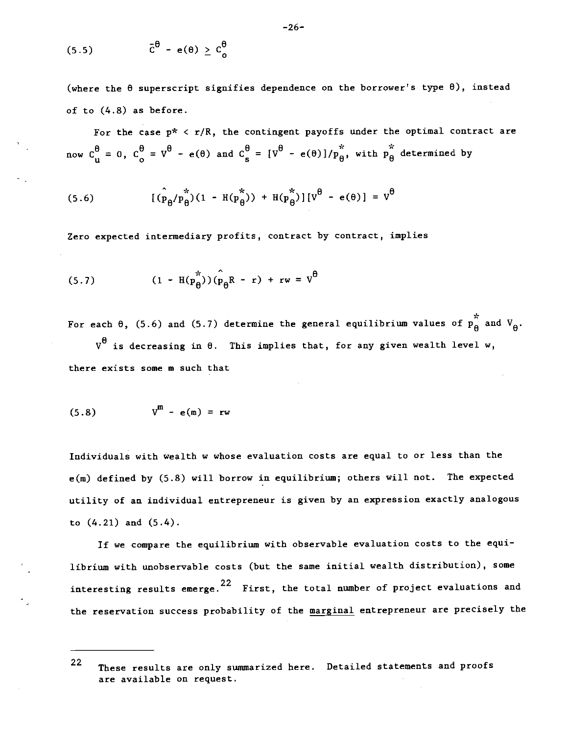$$
(5.5) \qquad \qquad \tilde{c}^{\theta} - e(\theta) \geq c_{o}^{\theta}
$$

(where the  $\theta$  superscript signifies dependence on the borrower's type  $\theta$ ), instead of to (4.8) as before.

For the case  $p^* < r/R$ , the contingent payoffs under the optimal contract are now  $C_{u}^{\theta} = 0$ ,  $C_{o}^{\theta} = V^{\theta} - e(\theta)$  and  $C_{s}^{\theta} = [V^{\theta} - e(\theta)]/p_{\theta}^{*}$ , with  $p_{\theta}^{*}$  determined by

(5.6) 
$$
[(\hat{p}_{\theta}/p_{\theta}^{\ast})(1 - H(p_{\theta}^{\ast})) + H(p_{\theta}^{\ast})][v^{\theta} - e(\theta)] = v^{\theta}
$$

Zero expected intermediary profits, contract by contract, implies

$$
(5.7) \qquad (1 - \text{H}(\hat{p}_{\theta}^{\pi})) (\hat{p}_{\theta} R - r) + r w = V^{\theta}
$$

For each  $\theta$ , (5.6) and (5.7) determine the general equilibrium values of  $p_A^*$  and  $V_A$ .

 $V^{\theta}$  is decreasing in  $\theta$ . This implies that, for any given wealth level w, there exists some m such that

$$
(5.8) \t Vm - e(m) = rw
$$

Individuals with wealth w whose evaluation costs are equal to or less than the e(m) defined by (5.8) will borrow in equilibrium; others will not. The expected utility of an individual entrepreneur is given by an expression exactly analogous to (4.21) and (5.4).

If we compare the equilibrium with observable evaluation costs to the equilibrium with unobservable costs (but the same initial wealth distribution), some interesting results emerge.  $22$  First, the total number of project evaluations and the reservation success probability of the marginal entrepreneur are precisely the

<sup>22</sup> These results are only summarized here. Detailed statements and proofs are available on request.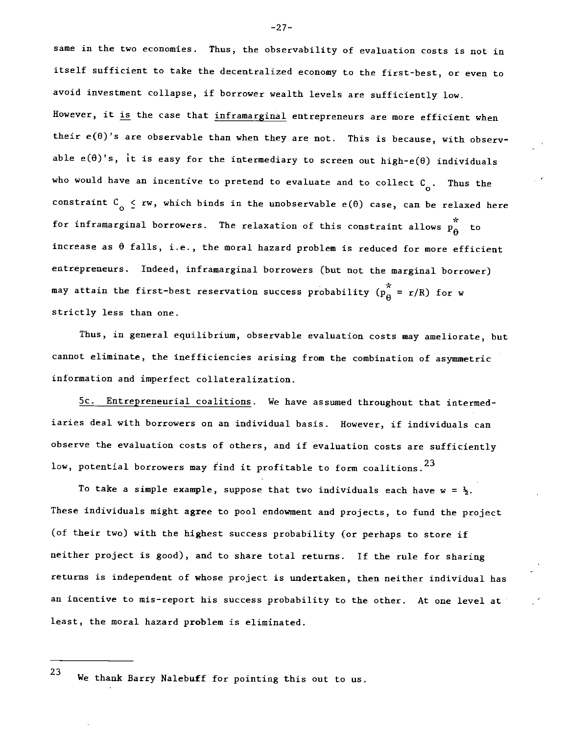same in the two economies. Thus, the observability of evaluation costs is not in itself sufficient to take the decentralized economy to the first-best, or even to avoid investment collapse, if borrower wealth levels are sufficiently low. However, it is the case that inframarginal entrepreneurs are more efficient when their  $e(\theta)$ 's are observable than when they are not. This is because, with observable  $e(\theta)'s$ , it is easy for the intermediary to screen out high- $e(\theta)$  individuals who would have an incentive to pretend to evaluate and to collect  $C_{\alpha}$ . Thus the constraint  $C_0 \leq rw$ , which binds in the unobservable  $e(\theta)$  case, can be relaxed here for inframarginal borrowers. The relaxation of this constraint allows  $\stackrel{*}{\rm p}_{\theta}^*$  to increase as  $\theta$  falls, i.e., the moral hazard problem is reduced for more efficient entrepreneurs. Indeed, inframarginal borrowers (but not the marginal borrower) may attain the first-best reservation success probability  $(p_{\hat{H}}^{\star} = r/R)$  for w strictly less than one.

Thus, in general equilibrium, observable evaluation costs may ameliorate, but cannot eliminate, the inefficiencies arising from the combination of asymmetric information and imperfect collateralization.

5c. Entrepreneurial coalitions. We have assumed throughout that intermediaries deal with borrowers on an individual basis. However, if individuals can observe the evaluation costs of others, and if evaluation costs are sufficiently low, potential borrowers may find it profitable to form coalitions.  $^{23}$ 

To take a simple example, suppose that two individuals each have  $w = \frac{1}{2}$ . These individuals might agree to pool endowment and projects, to fund the project (of their two) with the highest success probability (or perhaps to store if neither project is good), and to share total returns. If the rule for sharing returns is independent of whose project is undertaken, then neither individual has an incentive to mis-report his success probability to the other. At one level at least, the moral hazard problem is eliminated.

23 We thank Barry Nalebuff for pointing this out to us.

—27—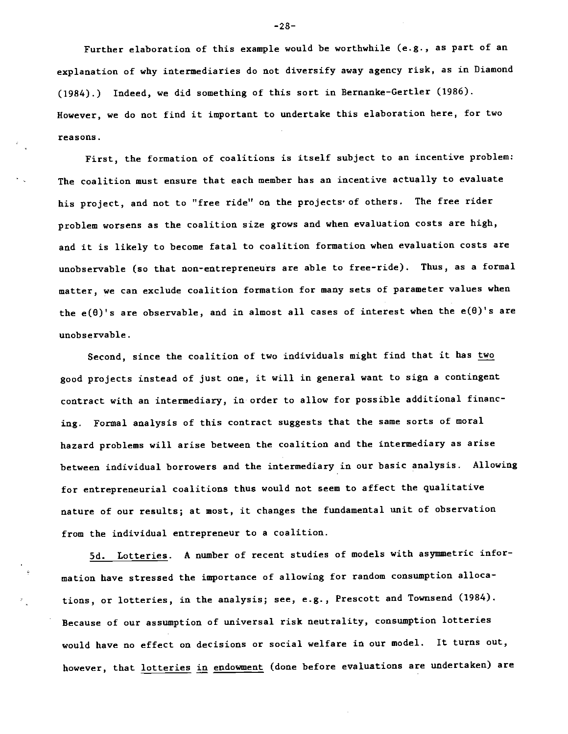Further elaboration of this example would be worthwhile (e.g., as part of an explanation of why intermediaries do not diversify away agency risk, as in Diamond (1984).) Indeed, we did something of this sort in Bernanke-Gertler (1986). However, we do not find it important to undertake this elaboration here, for two reasons.

First, the formation of coalitions is itself subject to an incentive problem: The coalition must ensure that each member has an incentive actually to evaluate his project, and not to "free ride" on the projects' of others. The free rider problem worsens as the coalition size grows and when evaluation costs are high, and it is likely to become fatal to coalition formation when evaluation costs are unobservable (so that non-entrepreneurs are able to free-ride). Thus, as a formal matter, we can exclude coalition formation for many sets of parameter values when the e( $\theta$ )'s are observable, and in almost all cases of interest when the e( $\theta$ )'s are unobservable.

Second, since the coalition of two individuals might find that it has two good projects instead of just one, it will in general want to sign a contingent contract with an intermediary, in order to allow for possible additional financing. Formal analysis of this contract suggests that the same sorts of moral hazard problems will arise between the coalition and the intermediary as arise between individual borrowers and the intermediary in our basic analysis. Allowing for entrepreneurial coalitions thus would not seem to affect the qualitative nature of our results; at most, it changes the fundamental unit of observation from the individual entrepreneur to a coalition.

Sd. Lotteries. A number of recent studies of models with asymmetric information have stressed the importance of allowing for random consumption allocations, or lotteries, in the analysis; see, e.g., Prescott and Townsend (1984). Because of our assumption of universal risk neutrality, consumption lotteries would have no effect on decisions or social welfare in our model. It turns out, however, that lotteries in endowment (done before evaluations are undertaken) are

-28-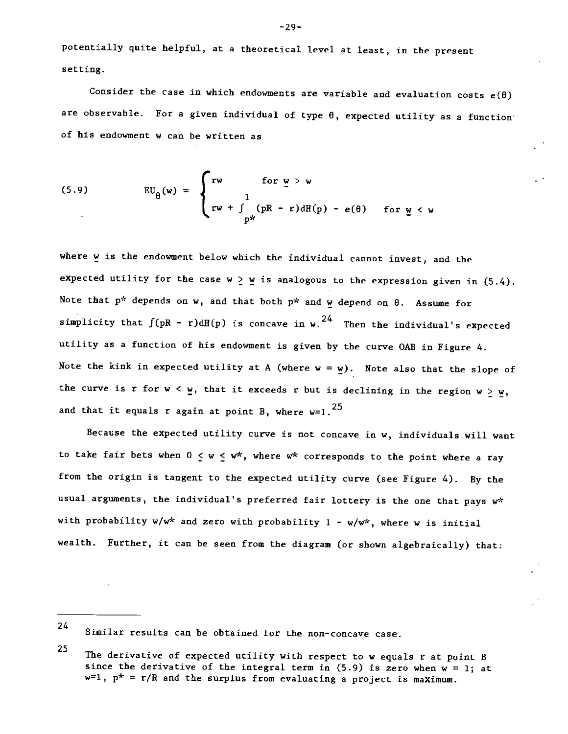potentially quite helpful, at a theoretical level at least, in the present setting.

Consider the case in which endowments are variable and evaluation costs  $e(\theta)$ are observable. For a given individual of type  $\theta$ , expected utility as a function of his endowment w can be written as

(5.9) 
$$
EU_{\theta}(w) = \begin{cases} rw & \text{for } w > w \\ 1 & \\ rw + \int_{p^*}^1 (pR - r) dH(p) - e(\theta) & \text{for } \underline{w} \leq w \end{cases}
$$

where  $w$  is the endowment below which the individual cannot invest, and the expected utility for the case  $w \geq w$  is analogous to the expression given in (5.4). Note that  $p^*$  depends on w, and that both  $p^*$  and  $w$  depend on  $\theta$ . Assume for simplicity that  $\int (pR - r) dH(p)$  is concave in w.<sup>24</sup> Then the individual's expected utility as a function of his endowment is given by the curve OAB in Figure 4. Note the kink in expected utility at A (where  $w = w$ ). Note also that the slope of the curve is r for  $w < w$ , that it exceeds r but is declining in the region  $w \geq w$ , and that it equals r again at point B, where  $w=1$ .

Because the expected utility curve is not concave in w, individuals will want to take fair bets when  $0 \le w \le w^*$ , where  $w^*$  corresponds to the point where a ray from the origin is tangent to the expected utility curve (see Figure 4). By the usual arguments, the individual's preferred fair lottery is the one that pays w\* with probability w/w\* and zero with probability  $1 - w/w^*$ , where w is initial wealth. Further, it can be seen from the diagram (or shown algebraically) that:

24 Similar results can be obtained for the non-concave case.

<sup>25</sup> The derivative of expected utility with respect to w equals r at point B since the derivative of the integral term in (5.9) is zero when  $w = 1$ ; at  $w=1$ ,  $p^* = r/R$  and the surplus from evaluating a project is maximum.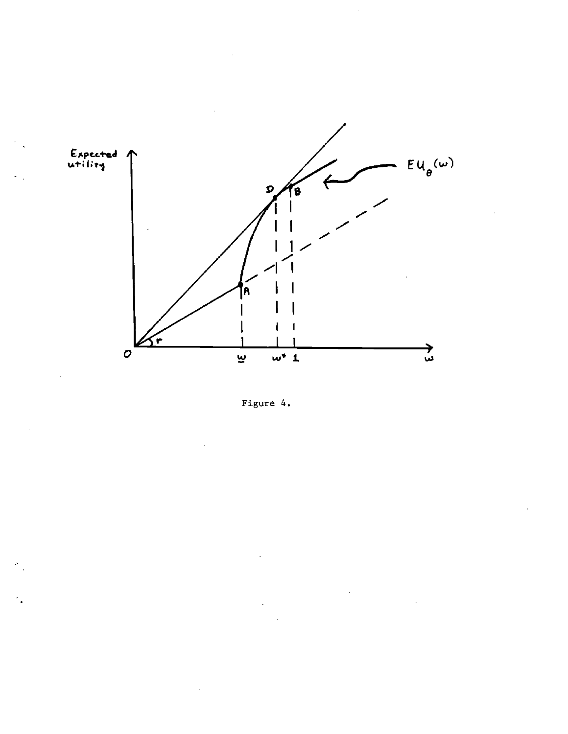

Figure 4.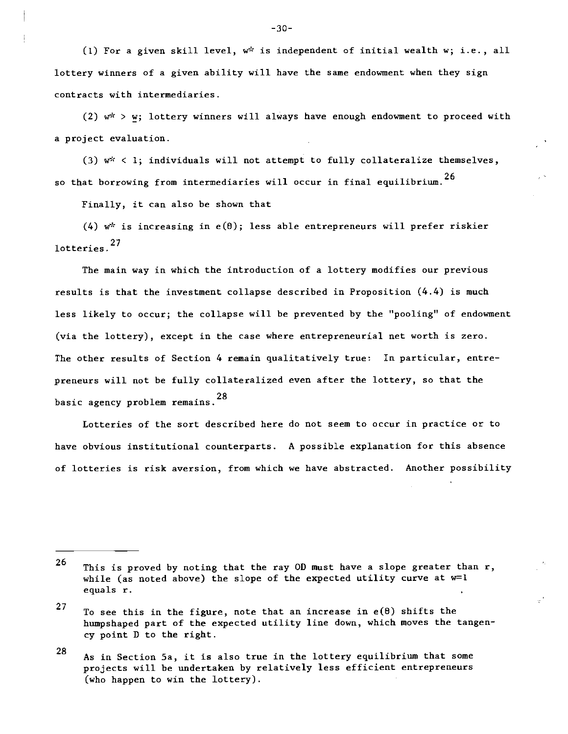(1) For a given skill level,  $w^k$  is independent of initial wealth w; i.e., all lottery winners of a given ability will have the same endowment when they sign contracts with intermediaries.

(2)  $w^* > w$ ; lottery winners will always have enough endowment to proceed with a project evaluation.

(3)  $w^*$  < 1; individuals will not attempt to fully collateralize themselves, so that borrowing from intermediaries will occur in final equilibrium.<sup>26</sup>

Finally, it can also be shown that

 $(4)$  w\* is increasing in e(0); less able entrepreneurs will prefer riskier lotteries.<sup>27</sup>

The main way in which the introduction of a lottery modifies our previous results is that the investment collapse described in Proposition (4.4) is much less likely to occur; the collapse will be prevented by the "pooling" of endowment (via the lottery), except in the case where entrepreneurial net worth is zero. The other results of Section 4 remain qualitatively true: In particular, entrepreneurs will not be fully collateralized even after the lottery, so that the basic agency problem remains.28

Lotteries of the sort described here do not seem to occur in practice or to have obvious institutional counterparts. A possible explanation for this absence of lotteries is risk aversion, from which we have abstracted. Another possibility

<sup>26</sup> This is proved by noting that the ray OD must have a slope greater than  $r$ , while (as noted above) the slope of the expected utility curve at  $w=1$ equals r.

<sup>27</sup> To see this in the figure, note that an increase in  $e(\theta)$  shifts the humpshaped part of the expected utility line down, which moves the tangency point 0 to the right.

<sup>28</sup> As in Section 5a, it is also true in the lottery equilibrium that some projects will be undertaken by relatively less efficient entrepreneurs (who happen to win the lottery).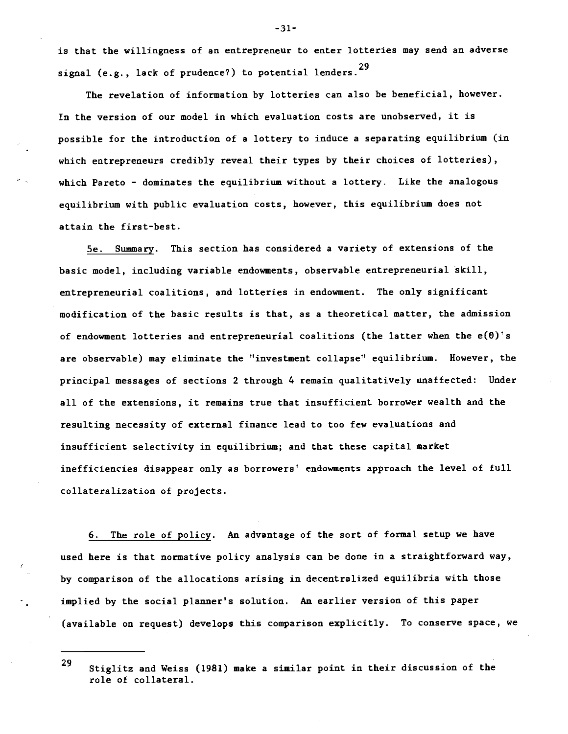is that the willingness of an entrepreneur to enter lotteries may send an adverse signal (e.g., lack of prudence?) to potential lenders.<sup>29</sup>

The revelation of information by lotteries can also be beneficial, however. In the version of our model in which evaluation costs are unobserved, it is possible for the introduction of a lottery to induce a separating equilibrium (in which entrepreneurs credibly reveal their types by their choices of lotteries), which Pareto - dominates the equilibrium without a lottery. Like the analogous equilibrium with public evaluation costs, however, this equilibrium does not attain the first-best.

Se. Summary. This section has considered a variety of extensions of the basic model, including variable endowments, observable entrepreneurial skill, entrepreneurial coalitions, and lotteries in endowment. The only significant modification of the basic results is that, as a theoretical matter, the admission of endowment lotteries and entrepreneurial coalitions (the latter when the  $e(\theta)$ 's are observable) may eliminate the "investment collapse" equilibrium. However, the principal messages of sections 2 through 4 remain qualitatively unaffected: Under all of the extensions, it remains true that insufficient borrower wealth and the resulting necessity of external finance lead to too few evaluations and insufficient selectivity in equilibrium; and that these capital market inefficiencies disappear only as borrowers' endowments approach the level of full collateralization of projects.

6. The role of policy. An advantage of the sort of formal setup we have used here is that normative policy analysis can be done in a straightforward way, by comparison of the allocations arising in decentralized equilibria with those implied by the social planner's solution. An earlier version of this paper (available on request) develops this comparison explicitly. To conserve space, we

<sup>29</sup> Stiglitz and Weiss (1981) make a similar point in their discussion of the role of collateral.

-31-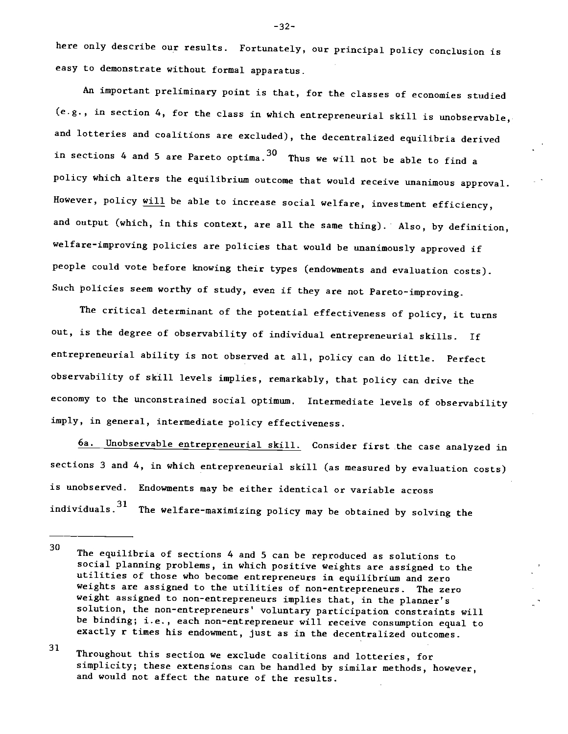here only describe our results. Fortunately, our principal policy conclusion is easy to demonstrate without formal apparatus.

An important preliminary point is that, for the classes of economies studied  $(e.g., in section 4, for the class in which extremeural skill is unobservable,$ and lotteries and coalitions are excluded), the decentralized equilibria derived in sections 4 and 5 are Pareto optima.  $30$  Thus we will not be able to find a policy which alters the equilibrium outcome that would receive unanimous approval. However, policy will be able to increase social welfare, investment efficiency, and output (which, in this context, are all the same thing). Also, by definition, welfare-improving policies are policies that would be unanimously approved if people could vote before knowing their types (endowments and evaluation costs). Such policies seem worthy of study, even if they are not Pareto-improving.

The critical determinant of the potential effectiveness of policy, it turns out, is the degree of observability of individual entrepreneurial skills. If entrepreneurial ability is not observed at all, policy can do little. Perfect observability of skill levels implies, remarkably, that policy can drive the economy to the unconstrained social optimum. Intermediate levels of observability imply, in general, intermediate policy effectiveness.

6a. Unobservable entrepreneurial skill. Consider first .the case analyzed in sections 3 and 4, in which entrepreneurial skill (as measured by evaluation costs) is unobserved. Endowments may be either identical or variable across individuals.31 The welfare-maximizing policy may be obtained by solving the

 $31$   $\pi$ Throughout this section we exclude coalitions and lotteries, for simplicity; these extensions can be handled by similar methods, however, and would not affect the nature of the results.

-32-

 $30 \qquad$  m  $\qquad \qquad$ The equilibria of sections 4 and S can be reproduced as solutions to social planning problems, in which positive weights are assigned to the utilities of those who become entrepreneurs in equilibrium and zero weights are assigned to the utilities of non-entrepreneurs. The zero weight assigned to non-entrepreneurs implies that, in the planner's solution, the non-entrepreneurs' voluntary participation constraints will be binding; i.e., each non-entrepreneur will receive consumption equal to exactly r times his endowment, just as in the decentralized outcomes.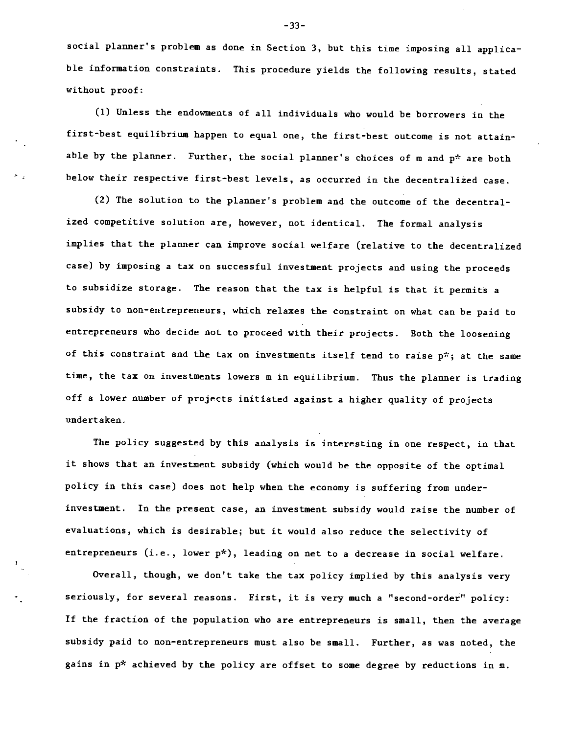social planner's problem as done in Section 3, but this time imposing all applicable information constraints. This procedure yields the following results, stated without proof:

(1) Unless the endowments of all individuals who would be borrowers in the first-best equilibrium happen to equal one, the first-best outcome is not attainable by the planner. Further, the social planner's choices of m and p\* are both below their respective first-best levels, as occurred in the decentralized case.

(2) The solution to the planner's problem and the outcome of the decentralized competitive solution are, however, not identical. The formal analysis implies that the planner can improve social welfare (relative to the decentralized case) by imposing a tax on successful investment projects and using the proceeds to subsidize storage. The reason that the tax is helpful is that it permits a subsidy to non-entrepreneurs, which relaxes the constraint on what can be paid to entrepreneurs who decide not to proceed with their projects. Both the loosening of this constraint and the tax on investments itself tend to raise  $p^*$ ; at the same time, the tax on investments lowers m in equilibrium. Thus the planner is trading off a lower number of projects initiated against a higher quality of projects undertaken.

The policy suggested by this analysis is interesting in one respect, in that it shows that an investment subsidy (which would be the opposite of the optimal policy in this case) does not help when the economy is suffering from underinvestment. In the present case, an investment subsidy would raise the number of evaluations, which is desirable; but it would also reduce the selectivity of entrepreneurs (i.e., lower p\*), leading on net to a decrease in social welfare.

Overall, though, we don't take the tax policy implied by this analysis very seriously, for several reasons. First, it is very much a "second-order" policy: If the fraction of the population who are entrepreneurs is small, then the average subsidy paid to non-entrepreneurs must also be small. Further, as was noted, the gains in  $p^*$  achieved by the policy are offset to some degree by reductions in  $m$ .

-33—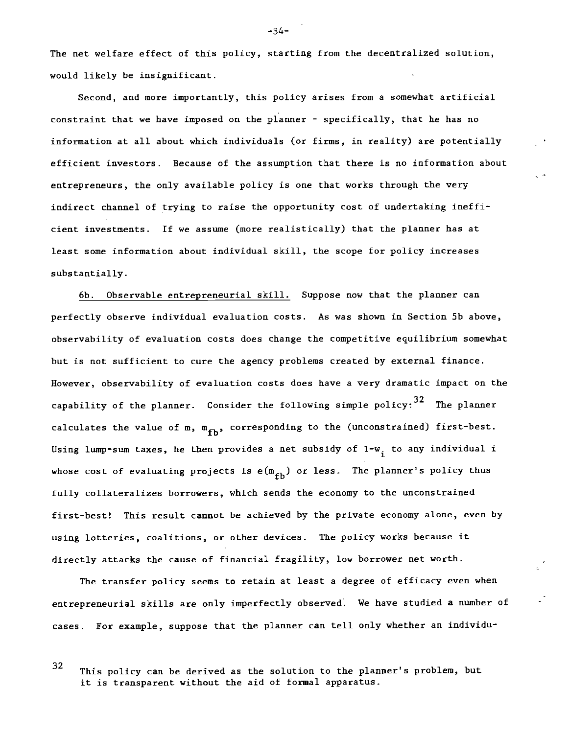The net welfare effect of this policy, starting from the decentralized solution, would likely be insignificant.

Second, and more importantly, this policy arises from a somewhat artificial constraint that we have imposed on the planner - specifically, that he has no information at all about which individuals (or firms, in reality) are potentially efficient investors. Because of the assumption that there is no information about entrepreneurs, the only available policy is one that works through the very indirect channel of trying to raise the opportunity cost of undertaking inefficient investments. If we assume (more realistically) that the planner has at least some information about individual skill, the scope for policy increases substantially.

6b. Observable entrepreneurial skill. Suppose now that the planner can perfectly observe individual evaluation costs. As was shown in Section Sb above, observability of evaluation costs does change the competitive equilibrium somewhat but is not sufficient to cure the agency problems created by external finance. However, observability of evaluation costs does have a very dramatic impact on the capability of the planner. Consider the following simple policy:  $32$  The planner calculates the value of m,  $m_{fh}$ , corresponding to the (unconstrained) first-best. Using lump-sum taxes, he then provides a net subsidy of  $1-w_i$  to any individual i whose cost of evaluating projects is  $e(m_{fh})$  or less. The planner's policy thus fully collateralizes borrowers, which sends the economy to the unconstrained first-best! This result cannot be achieved by the private economy alone, even by using lotteries, coalitions, or other devices. The policy works because it directly attacks the cause of financial fragility, low borrower net worth.

The transfer policy seems to retain at least a degree of efficacy even when entrepreneurial skills are only imperfectly observed. We have studied a number of cases. For example, suppose that the planner can tell only whether an individu-

-34-

<sup>32</sup> This policy can be derived as the solution to the planner's problem, but it is transparent without the aid of formal apparatus.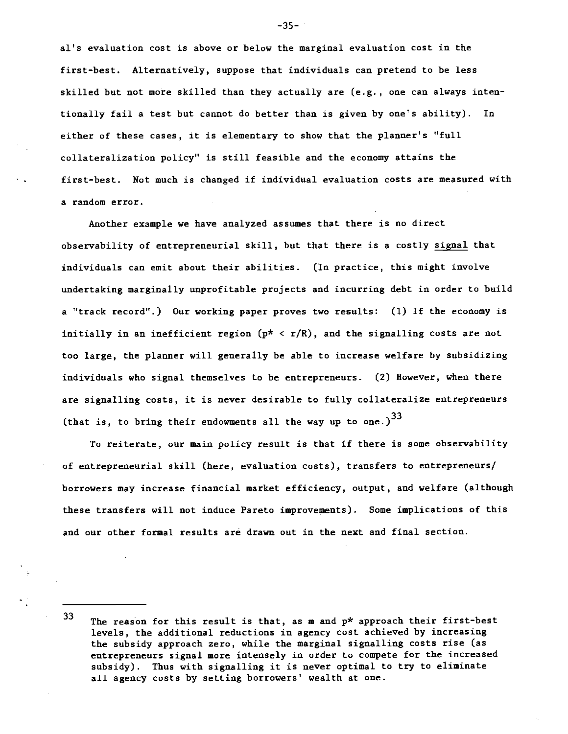al's evaluation cost is above or below the marginal evaluation cost in the first-best. Alternatively, suppose that individuals can pretend to be less skilled but not more skilled than they actually are (e.g., one can always intentionally fail a test but cannot do better than is given by one's ability). In either of these cases, it is elementary to show that the planner's "full collateralization policy" is still feasible and the economy attains the first-best. Not much is changed if individual evaluation costs are measured with a random error.

Another example we have analyzed assumes that there is no direct observability of entrepreneurial skill, but that there is a costly signal that individuals can emit about their abilities. (In practice, this might involve undertaking marginally unprofitable projects and incurring debt in order to build a "track record".) Our working paper proves two results: (1) If the economy is initially in an inefficient region  $(p^* < r/R)$ , and the signalling costs are not too large, the planner will generally be able to increase welfare by subsidizing individuals who signal themselves to be entrepreneurs. (2) However, when there are signalling costs, it is never desirable to fully collateralize entrepreneurs (that is, to bring their endowments all the way up to one.) $^{33}$ 

To reiterate, our main policy result is that if there is some observability of entrepreneurial skill (here, evaluation costs), transfers to entrepreneurs/ borrowers may increase financial market efficiency, output, and welfare (although these transfers will not induce Pareto improvements). Some implications of this and our other formal results are drawn out in the next and final section.

33

 $-35-7$ 

The reason for this result is that, as m and p\* approach their first-best levels, the additional reductions in agency cost achieved by increasing the subsidy approach zero, while the marginal signalling costs rise (as entrepreneurs signal more intensely in order to compete for the increased subsidy). Thus with signalling it is never optimal to try to eliminate all agency costs by setting borrowers' wealth at one.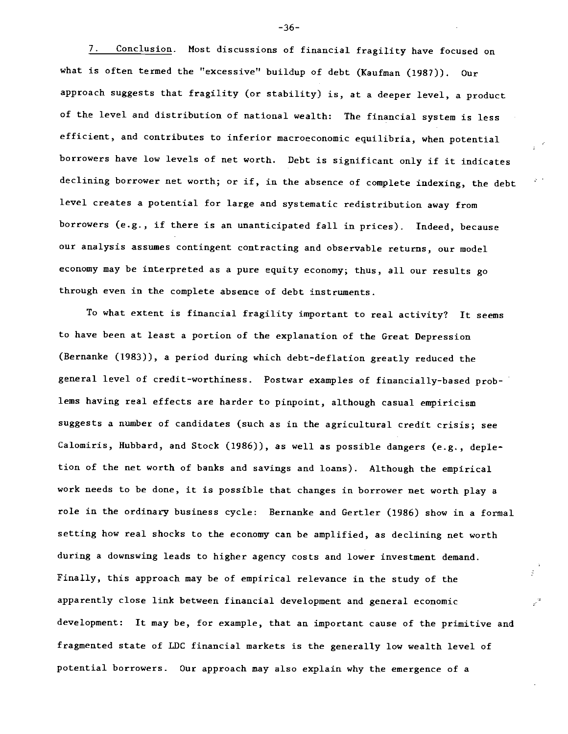7. Conclusion. Most discussions of financial fragility have focused on what is often termed the "excessive" buildup of debt (Kaufman (1987)). Our approach suggests that fragility (or stability) is, at a deeper level, a product of the level and distribution of national wealth: The financial system is less efficient, and contributes to inferior macroeconomic equilibria, when potential borrowers have low levels of net worth. Debt is significant only if it indicates declining borrower net worth; or if, in the absence of complete indexing, the debt level creates a potential for large and systematic redistribution away from borrowers (e.g., if there is an unanticipated fall in prices). Indeed, because our analysis assumes contingent contracting and observable returns, our model economy may be interpreted as a pure equity economy; thus, all our results go through even in the complete absence of debt instruments.

To what extent is financial fragility important to real activity? Tt seems to have been at least a portion of the explanation of the Great Depression (Bernanke (1983)), a period during which debt-deflation greatly reduced the general level of credit-worthiness. Postwar examples of financially-based problems having real effects are harder to pinpoint, although casual empiricism suggests a number of candidates (such as in the agricultural credit crisis; see Calomiris, Hubbard, and Stock (1986)), as well as possible dangers (e.g., depletion of the net worth of banks and savings and loans). Although the empirical work needs to be done, it is possible that changes in borrower net worth play a role in the ordinary business cycle: Bernanke and Gertler (1986) show in a formal setting how real shocks to the economy can be amplified, as declining net worth during a downswing leads to higher agency costs and lower investment demand. Finally, this approach may be of empirical relevance in the study of the apparently close link between financial development and general economic development: It may be, for example, that an important cause of the primitive and fragmented state of LDC financial markets is the generally low wealth level of potential borrowers. Our approach may also explain why the emergence of a

-36-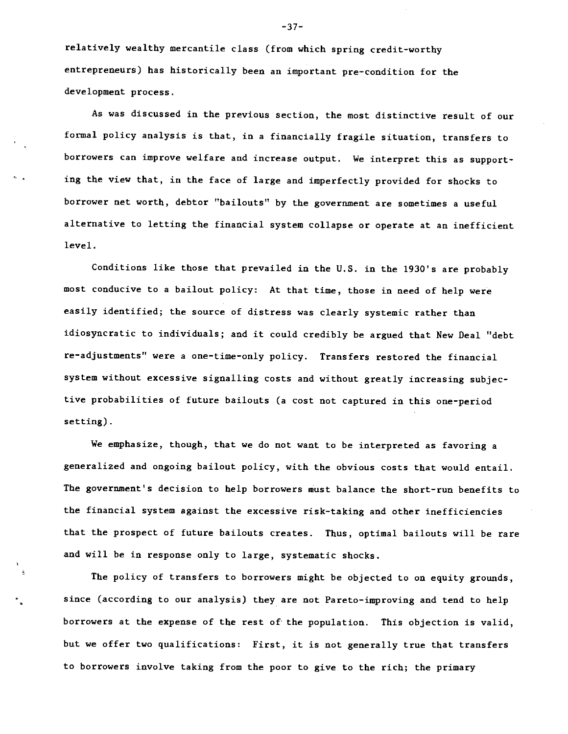relatively wealthy mercantile class (from which spring credit-worthy entrepreneurs) has historically been an important pre-condition for the development process.

As was discussed in the previous section, the most distinctive result of our formal policy analysis is that, in a financially fragile situation, transfers to borrowers can improve welfare and increase output. We interpret this as supporting the view that, in the face of large and imperfectly provided for shocks to borrower net worth, debtor "bailouts" by the government are sometimes a useful alternative to letting the financial system collapse or operate at an inefficient level.

Conditions like those that prevailed in the U.S. in the 1930's are probably most conducive to a bailout policy: At that time, those in need of help were easily identified; the source of distress was clearly systemic rather than idiosyncratic to individuals; and it could credibly be argued that New Deal "debt re-adjustments" were a one-time-only policy. Transfers restored the financial system without excessive signalling costs and without greatly increasing subjective probabilities of future bailouts (a cost not captured in this one-period setting).

We emphasize, though, that we do not want to be interpreted as favoring a generalized and ongoing bailout policy, with the obvious costs that would entail. The government's decision to help borrowers must balance the short-run benefits to the financial system against the excessive risk-taking and other inefficiencies that the prospect of future bailouts creates. Thus, optimal bailouts will be rare and will be in response only to large, systematic shocks.

The policy of transfers to borrowers might be objected to on equity grounds, since (according to our analysis) they are not Pareto-improving and tend to help borrowers at the expense of the rest of the population. This objection is valid, but we offer two qualifications: First, it is not generally true that transfers to borrowers involve taking from the poor to give to the rich; the primary

-37-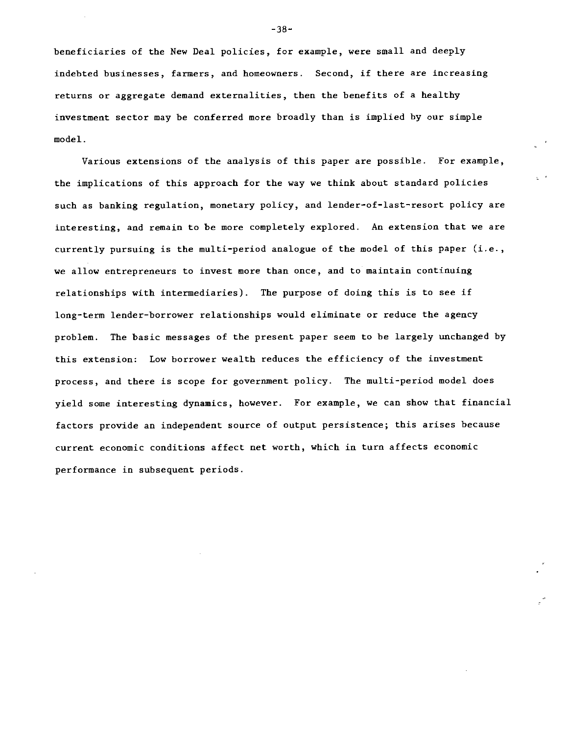beneficiaries of the New Deal policies, for example, were small and deeply indebted businesses, farmers, and homeowners. Second, if there are increasing returns or aggregate demand externalities, then the benefits of a healthy investment sector may be conferred more broadly than is implied by our simple model.

Various extensions of the analysis of this paper are possible. For example, the implications of this approach for the way we think about standard policies such as banking regulation, monetary policy, and lender-of-last-resort policy are interesting, and remain to be more completely explored. An extension that we are currently pursuing is the multi-period analogue of the model of this paper (i.e., we allow entrepreneurs to invest more than once, and to maintain continuing relationships with intermediaries). The purpose of doing this is to see if long-term lender-borrower relationships would eliminate or reduce the agency problem. The basic messages of the present paper seem to be largely unchanged by this extension: Low borrower wealth reduces the efficiency of the investment process, and there is scope for government policy. The multi-period model does yield some interesting dynamics, however. For example, we can show that financial factors provide an independent source of output persistence; this arises because current economic conditions affect net worth, which in turn affects economic performance in subsequent periods.

-38—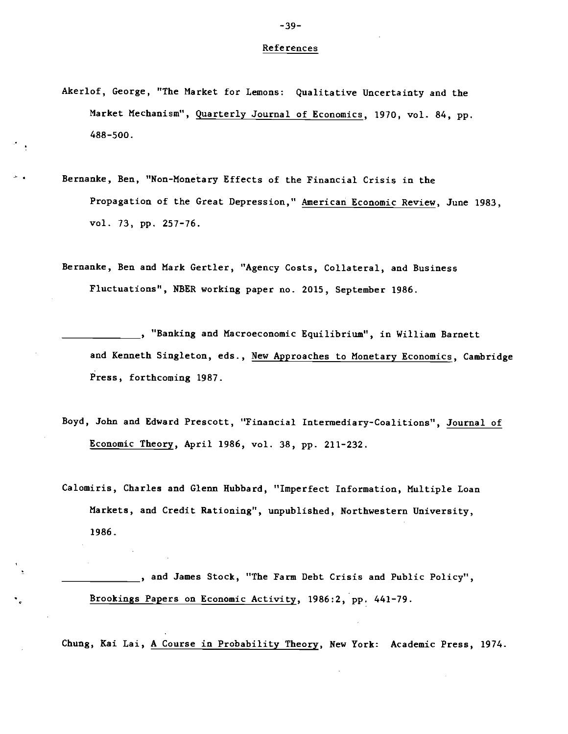#### References

- Akerlof, George, "The Market for Lemons: Qualitative Uncertainty and the Market Mechanism", Quarterly Journal of Economics, 1970, vol. 84, pp. 488-500.
- Bernanke, Ben, "Non-Monetary Effects of the Financial Crisis in the Propagation of the Great Depression," American Economic Review, June 1983, vol. 73, pp. 257—76.
- Bernanke, Ben and Hark Gertler, "Agency Costs, Collateral, and Business Fluctuations", NBER working paper no. 2015, September 1986.
	- <sub>\_\_</sub>, "Banking and Macroeconomic Equilibrium", in William Barnett and Kenneth Singleton, eds., New Approaches to Monetary Economics, Cambridge Press, forthcoming 1987.
- Boyd, John and Edward Prescott, "Financial Intermediary-Coalitions", Journal of Economic Theory, April 1986, vol. 38, pp. 211-232.
- Calomiris, Charles and Glenn Hubbard, "Imperfect Information, Multiple Loan Markets, and Credit Rationing", unpublished, Northwestern University, 1986.
	- ..., and James Stock, "The Farm Debt Crisis and Public Policy", Brookings Papers on Economic Activity, I986:2, pp. 441-79.

Chung, Kai Lai, A Course in Probability Theory, New York: Academic Press, 1974.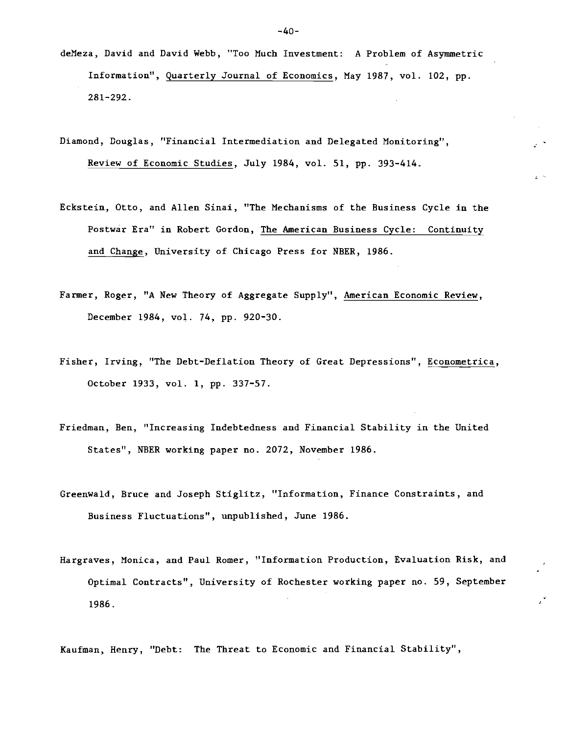- defleza, David and David Webb, "Too Much Investment: A Problem of Asymmetric Information", Quarterly Journal of Economics, May 1987, vol. 102, pp. 281—292.
- Diamond, Douglas, "Financial Intermediation and Delegated Monitoring", Review of Economic Studies, July 1984, vol. 51, pp. 393-414.
- Eckstein, Otto, and Allen Sinai, "The Mechanisms of the Business Cycle in the Postwar Era" in Robert Gordon, The American Business Cycle: Continuity and Change, University of Chicago Press for NBER, 1986.
- Farmer, Roger, "A New Theory of Aggregate Supply", American Economic Review, December 1984, vol. 74, pp. 920-30.
- Fisher, Irving, "The Debt-Deflation Theory of Great Depressions", Econometrica, October 1933, vol. 1, pp. 337—57.
- Friedman, Ben, "Increasing Indebtedness and Financial Stability in the United States", NBER working paper no. 2072, November 1986.
- Greenwald, Bruce and Joseph Stiglitz, "Information, Finance Constraints, and Business Fluctuations", unpublished, June 1986.
- Hargraves, Monica, and Paul Romer, "Information Production, Evaluation Risk, and Optimal Contracts", University of Rochester working paper no. 59, September 1986.

Kaufman, Henry, "Debt: The Threat to Economic and Financial Stability",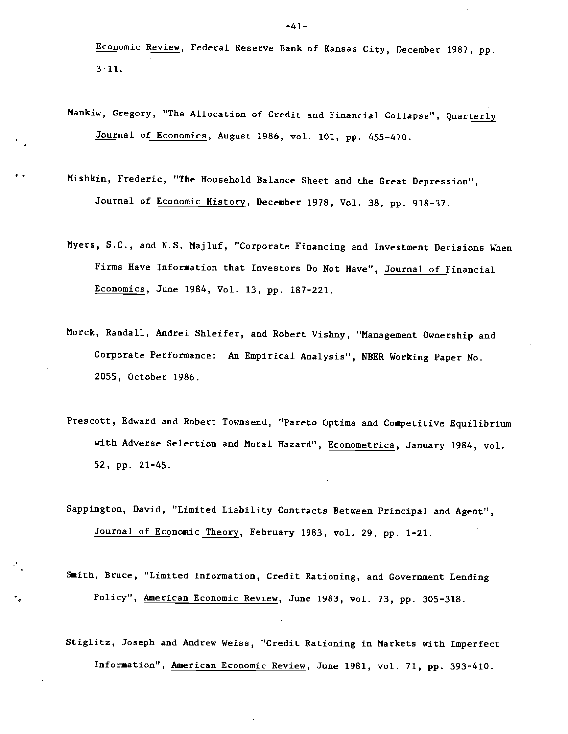Economic Review, Federal Reserve Bank of Kansas City, December 1987, pp. 3-11.

- Mankiw, Gregory, "The Allocation of Credit and Financial Collapse", Quarterly Journal of Economics, August 1986, vol. 101, pp. 455—470.
- Mishkin, Frederic, "The Household Balance Sheet and the Great Depression", Journal of Economic History, December 1978, Vol. 38, pp. 918-37.
- Myers, S.C., and N.S. Majluf, "Corporate Financing and Investment Decisions When Firms Have Information that Investors Do Not Have", Journal of Financial Economics, June 1984, Vol. 13, pp. 187-221.
- Morck, Randall, Andrei Shleifer, and Robert Vishny, "Management Ownership and Corporate Performance: An Empirical Analysis", NEER Working Paper No. 2055, October 1986.
- Prescott, Edward and Robert Townsend, "Pareto Optima and Competitive Equilibrium with Adverse Selection and Moral Hazard", Econometrica, January 1984, vol. 52, pp. 21-45.
- Sappington, David, "Limited Liability Contracts Between Principal and Agent", Journal of Economic Theory, February 1983, vol. 29, pp. 1-21.

Smith, Bruce, "Limited Information, Credit Rationing, and Government Lending Policy", American Economic Review, June 1983, vol. 73, pp. 305—318.

٠.

Stiglitz, Joseph and Andrew Weiss, "Credit Rationing in Markets with Imperfect Information", American Economic Review, June 1981, vol. 71, pp. 393-410.